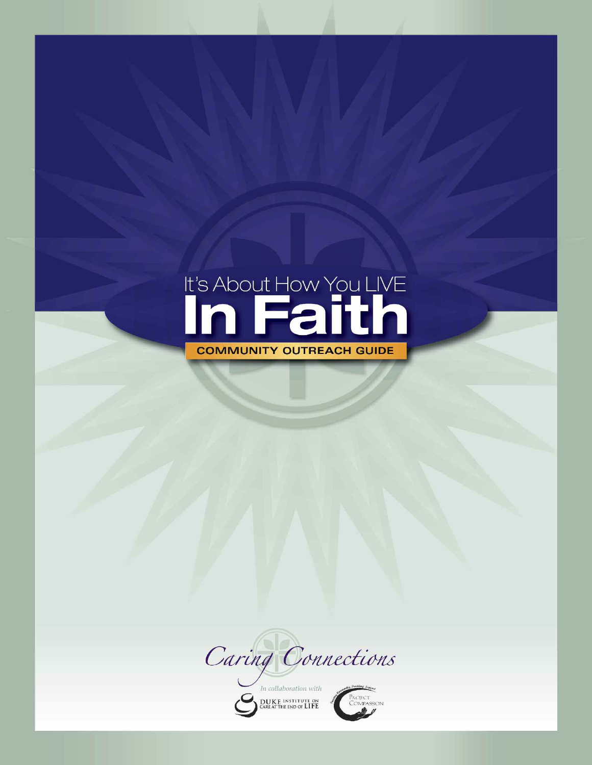# It's About How You LIVE **COMMUNITY OUTREACH GUIDE**

Caring Connections

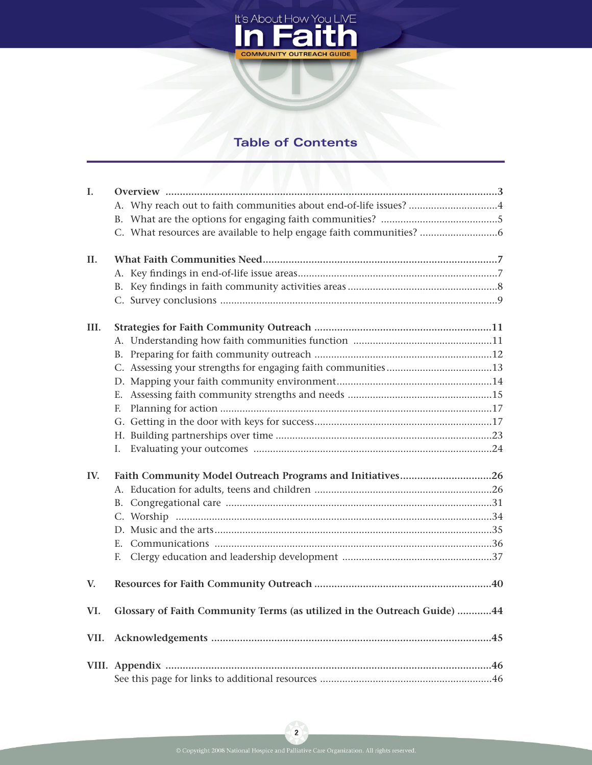

# **Table of Contents**

| I.   |                                                                          |  |
|------|--------------------------------------------------------------------------|--|
|      | A. Why reach out to faith communities about end-of-life issues? 4        |  |
|      |                                                                          |  |
|      | C. What resources are available to help engage faith communities?        |  |
| II.  |                                                                          |  |
|      |                                                                          |  |
|      |                                                                          |  |
|      |                                                                          |  |
| III. |                                                                          |  |
|      |                                                                          |  |
|      |                                                                          |  |
|      |                                                                          |  |
|      |                                                                          |  |
|      |                                                                          |  |
|      | E.                                                                       |  |
|      |                                                                          |  |
|      |                                                                          |  |
|      | Ι.                                                                       |  |
| IV.  | Faith Community Model Outreach Programs and Initiatives26                |  |
|      |                                                                          |  |
|      |                                                                          |  |
|      |                                                                          |  |
|      |                                                                          |  |
|      |                                                                          |  |
|      | F.                                                                       |  |
| V.   |                                                                          |  |
| VI.  | Glossary of Faith Community Terms (as utilized in the Outreach Guide) 44 |  |
| VII. |                                                                          |  |
|      |                                                                          |  |
|      |                                                                          |  |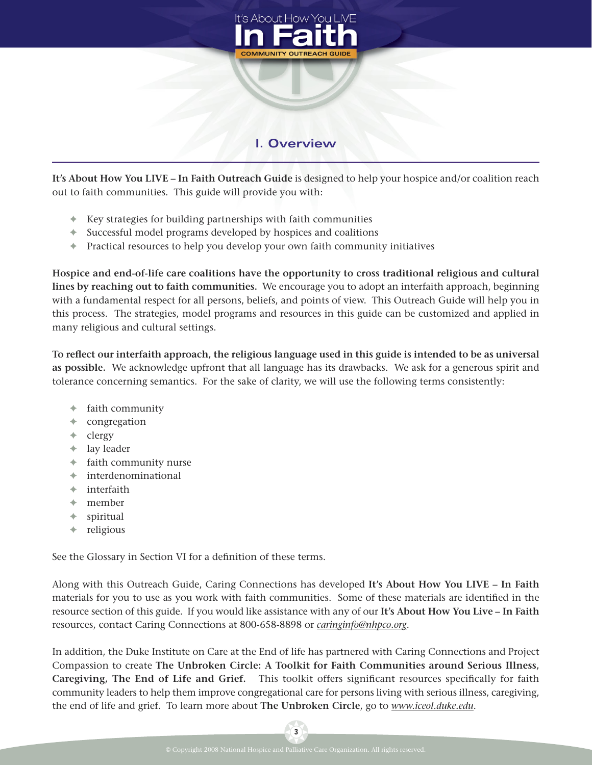

# **I. Overview**

**It's About How You LIVE – In Faith Outreach Guide** is designed to help your hospice and/or coalition reach out to faith communities. This guide will provide you with:

- **✦** Key strategies for building partnerships with faith communities
- **✦** Successful model programs developed by hospices and coalitions
- **✦** Practical resources to help you develop your own faith community initiatives

**Hospice and end-of-life care coalitions have the opportunity to cross traditional religious and cultural lines by reaching out to faith communities.** We encourage you to adopt an interfaith approach, beginning with a fundamental respect for all persons, beliefs, and points of view. This Outreach Guide will help you in this process. The strategies, model programs and resources in this guide can be customized and applied in many religious and cultural settings.

**To reIect our interfaith approach, the religious language used in this guide is intended to be as universal as possible.** We acknowledge upfront that all language has its drawbacks. We ask for a generous spirit and tolerance concerning semantics. For the sake of clarity, we will use the following terms consistently:

- **✦** faith community
- **✦** congregation
- **✦** clergy
- **✦** lay leader
- **✦** faith community nurse
- **✦** interdenominational
- **✦** interfaith
- **✦** member
- **✦** spiritual
- **✦** religious

See the Glossary in Section VI for a definition of these terms.

Along with this Outreach Guide, Caring Connections has developed **It's About How You LIVE – In Faith** materials for you to use as you work with faith communities. Some of these materials are identified in the resource section of this guide. If you would like assistance with any of our **It's About How You Live – In Faith** resources, contact Caring Connections at 800-658-8898 or *caringinfo@nhpco.org*.

In addition, the Duke Institute on Care at the End of life has partnered with Caring Connections and Project Compassion to create **The Unbroken Circle: A Toolkit for Faith Communities around Serious Illness, Caregiving, The End of Life and Grief.** This toolkit offers significant resources specifically for faith community leaders to help them improve congregational care for persons living with serious illness, caregiving, the end of life and grief. To learn more about **The Unbroken Circle**, go to *www.iceol.duke.edu*.

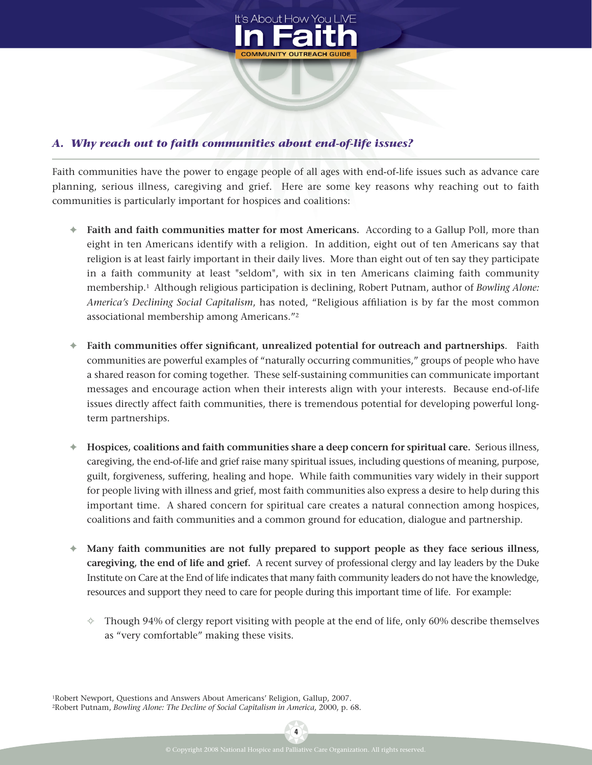

## *A. Why reach out to faith communities about end-of-life issues?*

Faith communities have the power to engage people of all ages with end-of-life issues such as advance care planning, serious illness, caregiving and grief. Here are some key reasons why reaching out to faith communities is particularly important for hospices and coalitions:

- **✦ Faith and faith communities matter for most Americans.** According to a Gallup Poll, more than eight in ten Americans identify with a religion. In addition, eight out of ten Americans say that religion is at least fairly important in their daily lives. More than eight out of ten say they participate in a faith community at least "seldom", with six in ten Americans claiming faith community membership.1 Although religious participation is declining, Robert Putnam, author of *Bowling Alone:* America's Declining Social Capitalism, has noted, "Religious affiliation is by far the most common associational membership among Americans."2
- **←** Faith communities offer significant, unrealized potential for outreach and partnerships. Faith communities are powerful examples of "naturally occurring communities," groups of people who have a shared reason for coming together. These self-sustaining communities can communicate important messages and encourage action when their interests align with your interests. Because end-of-life issues directly affect faith communities, there is tremendous potential for developing powerful longterm partnerships.
- **✦ Hospices, coalitions and faith communities share a deep concern for spiritual care.** Serious illness, caregiving, the end-of-life and grief raise many spiritual issues, including questions of meaning, purpose, guilt, forgiveness, suffering, healing and hope. While faith communities vary widely in their support for people living with illness and grief, most faith communities also express a desire to help during this important time. A shared concern for spiritual care creates a natural connection among hospices, coalitions and faith communities and a common ground for education, dialogue and partnership.
- **✦ Many faith communities are not fully prepared to support people as they face serious illness, caregiving, the end of life and grief.** A recent survey of professional clergy and lay leaders by the Duke Institute on Care at the End of life indicates that many faith community leaders do not have the knowledge, resources and support they need to care for people during this important time of life. For example:
	- **✧** Though 94% of clergy report visiting with people at the end of life, only 60% describe themselves as "very comfortable" making these visits.

1Robert Newport, Questions and Answers About Americans' Religion, Gallup, 2007. 2Robert Putnam, *Bowling Alone: The Decline of Social Capitalism in America,* 2000, p. 68.

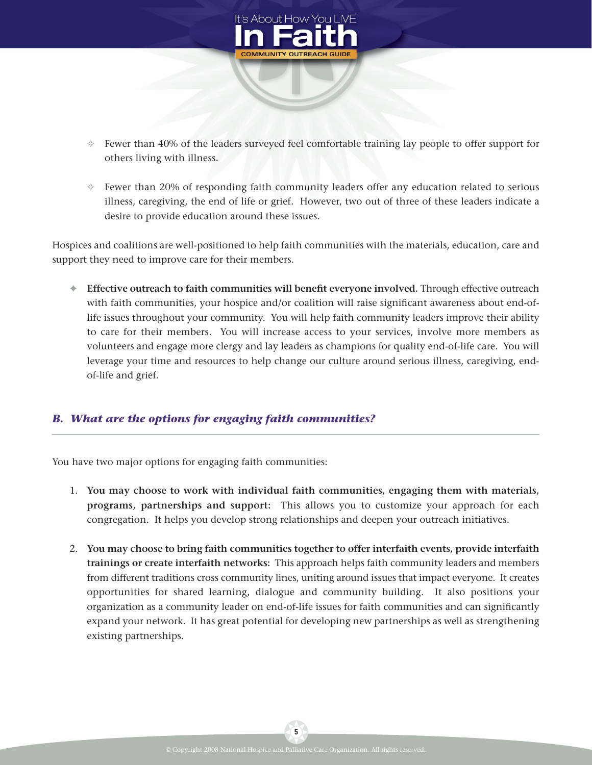

- **✧** Fewer than 40% of the leaders surveyed feel comfortable training lay people to offer support for others living with illness.
- **✧** Fewer than 20% of responding faith community leaders offer any education related to serious illness, caregiving, the end of life or grief. However, two out of three of these leaders indicate a desire to provide education around these issues.

Hospices and coalitions are well-positioned to help faith communities with the materials, education, care and support they need to improve care for their members.

**← Effective outreach to faith communities will benefit everyone involved.** Through effective outreach with faith communities, your hospice and/or coalition will raise significant awareness about end-oflife issues throughout your community. You will help faith community leaders improve their ability to care for their members. You will increase access to your services, involve more members as volunteers and engage more clergy and lay leaders as champions for quality end-of-life care. You will leverage your time and resources to help change our culture around serious illness, caregiving, endof-life and grief.

#### *B. What are the options for engaging faith communities?*

You have two major options for engaging faith communities:

- 1. **You may choose to work with individual faith communities, engaging them with materials, programs, partnerships and support:** This allows you to customize your approach for each congregation. It helps you develop strong relationships and deepen your outreach initiatives.
- 2. **You may choose to bring faith communities together to offer interfaith events, provide interfaith trainings or create interfaith networks:** This approach helps faith community leaders and members from different traditions cross community lines, uniting around issues that impact everyone. It creates opportunities for shared learning, dialogue and community building. It also positions your organization as a community leader on end-of-life issues for faith communities and can significantly expand your network. It has great potential for developing new partnerships as well as strengthening existing partnerships.

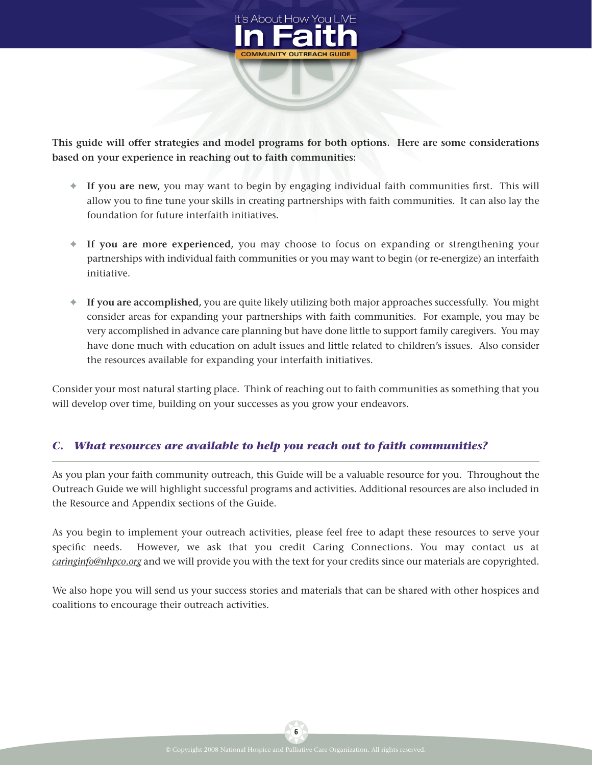

**This guide will offer strategies and model programs for both options. Here are some considerations based on your experience in reaching out to faith communities:**

- ◆ **If you are new**, you may want to begin by engaging individual faith communities first. This will allow you to fine tune your skills in creating partnerships with faith communities. It can also lay the foundation for future interfaith initiatives.
- **✦ If you are more experienced,** you may choose to focus on expanding or strengthening your partnerships with individual faith communities or you may want to begin (or re-energize) an interfaith initiative.
- **✦ If you are accomplished,** you are quite likely utilizing both major approaches successfully. You might consider areas for expanding your partnerships with faith communities. For example, you may be very accomplished in advance care planning but have done little to support family caregivers. You may have done much with education on adult issues and little related to children's issues. Also consider the resources available for expanding your interfaith initiatives.

Consider your most natural starting place. Think of reaching out to faith communities as something that you will develop over time, building on your successes as you grow your endeavors.

## *C. What resources are available to help you reach out to faith communities?*

As you plan your faith community outreach, this Guide will be a valuable resource for you. Throughout the Outreach Guide we will highlight successful programs and activities. Additional resources are also included in the Resource and Appendix sections of the Guide.

As you begin to implement your outreach activities, please feel free to adapt these resources to serve your specific needs. However, we ask that you credit Caring Connections. You may contact us at *caringinfo@nhpco.org* and we will provide you with the text for your credits since our materials are copyrighted.

We also hope you will send us your success stories and materials that can be shared with other hospices and coalitions to encourage their outreach activities.

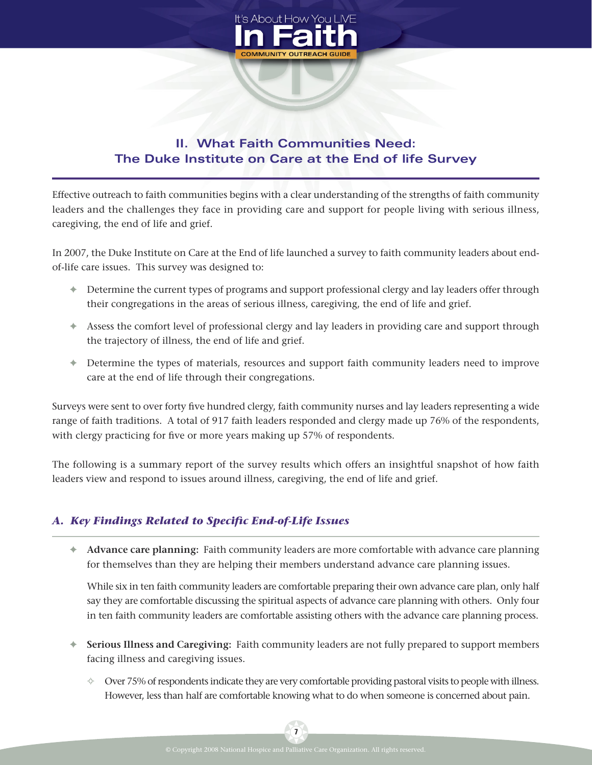

# **II. What Faith Communities Need: The Duke Institute on Care at the End of life Survey**

Effective outreach to faith communities begins with a clear understanding of the strengths of faith community leaders and the challenges they face in providing care and support for people living with serious illness, caregiving, the end of life and grief.

In 2007, the Duke Institute on Care at the End of life launched a survey to faith community leaders about endof-life care issues. This survey was designed to:

- **✦** Determine the current types of programs and support professional clergy and lay leaders offer through their congregations in the areas of serious illness, caregiving, the end of life and grief.
- **✦** Assess the comfort level of professional clergy and lay leaders in providing care and support through the trajectory of illness, the end of life and grief.
- **✦** Determine the types of materials, resources and support faith community leaders need to improve care at the end of life through their congregations.

Surveys were sent to over forty five hundred clergy, faith community nurses and lay leaders representing a wide range of faith traditions. A total of 917 faith leaders responded and clergy made up 76% of the respondents, with clergy practicing for five or more years making up 57% of respondents.

The following is a summary report of the survey results which offers an insightful snapshot of how faith leaders view and respond to issues around illness, caregiving, the end of life and grief.

# A. Key Findings Related to Specific End-of-Life Issues

**✦ Advance care planning:** Faith community leaders are more comfortable with advance care planning for themselves than they are helping their members understand advance care planning issues.

While six in ten faith community leaders are comfortable preparing their own advance care plan, only half say they are comfortable discussing the spiritual aspects of advance care planning with others. Only four in ten faith community leaders are comfortable assisting others with the advance care planning process.

- **✦ Serious Illness and Caregiving:** Faith community leaders are not fully prepared to support members facing illness and caregiving issues.
	- **✧** Over 75% of respondents indicate they are very comfortable providing pastoral visits to people with illness. However, less than half are comfortable knowing what to do when someone is concerned about pain.

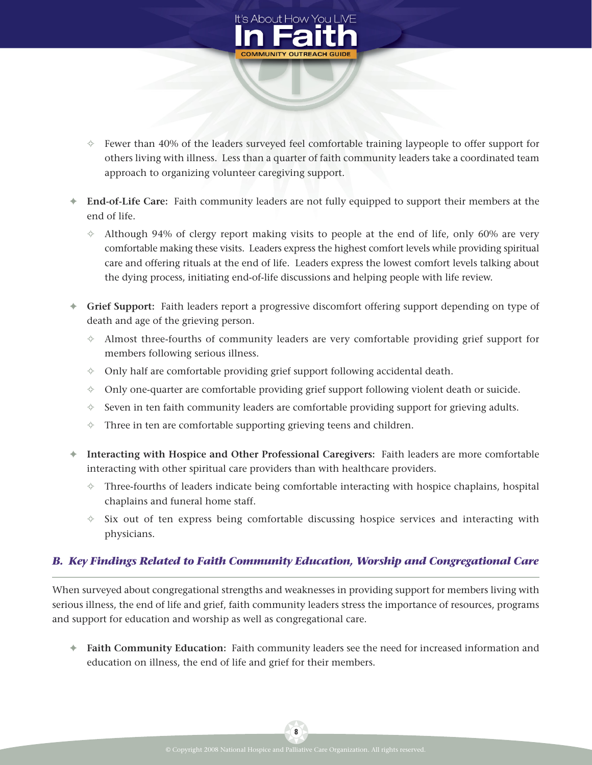

- **✧** Fewer than 40% of the leaders surveyed feel comfortable training laypeople to offer support for others living with illness. Less than a quarter of faith community leaders take a coordinated team approach to organizing volunteer caregiving support.
- **✦ End-of-Life Care:** Faith community leaders are not fully equipped to support their members at the end of life.
	- **✧** Although 94% of clergy report making visits to people at the end of life, only 60% are very comfortable making these visits. Leaders express the highest comfort levels while providing spiritual care and offering rituals at the end of life. Leaders express the lowest comfort levels talking about the dying process, initiating end-of-life discussions and helping people with life review.
- **✦ Grief Support:** Faith leaders report a progressive discomfort offering support depending on type of death and age of the grieving person.
	- **✧** Almost three-fourths of community leaders are very comfortable providing grief support for members following serious illness.
	- **✧** Only half are comfortable providing grief support following accidental death.
	- **✧** Only one-quarter are comfortable providing grief support following violent death or suicide.
	- **✧** Seven in ten faith community leaders are comfortable providing support for grieving adults.
	- **✧** Three in ten are comfortable supporting grieving teens and children.
- **✦ Interacting with Hospice and Other Professional Caregivers:** Faith leaders are more comfortable interacting with other spiritual care providers than with healthcare providers.
	- **✧** Three-fourths of leaders indicate being comfortable interacting with hospice chaplains, hospital chaplains and funeral home staff.
	- **✧** Six out of ten express being comfortable discussing hospice services and interacting with physicians.

## *B. Key Findings Related to Faith Community Education, Worship and Congregational Care*

When surveyed about congregational strengths and weaknesses in providing support for members living with serious illness, the end of life and grief, faith community leaders stress the importance of resources, programs and support for education and worship as well as congregational care.

**✦ Faith Community Education:** Faith community leaders see the need for increased information and education on illness, the end of life and grief for their members.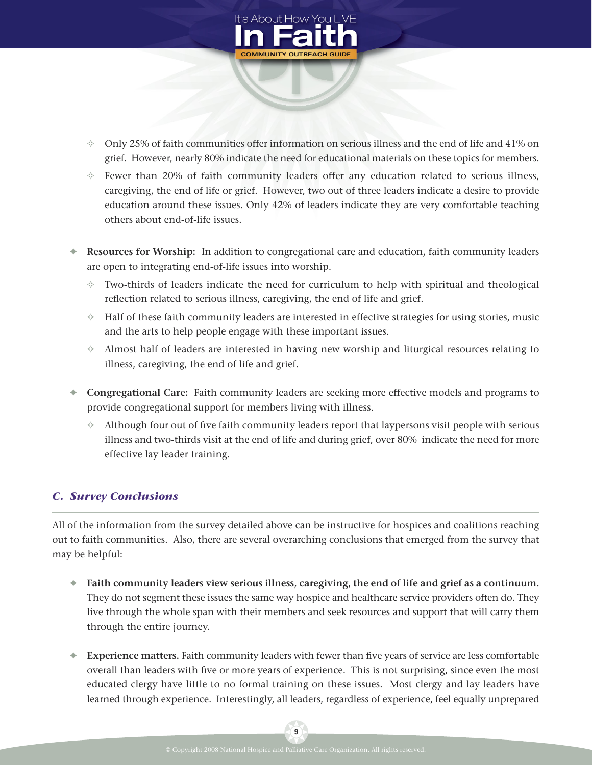

- **✧** Only 25% of faith communities offer information on serious illness and the end of life and 41% on grief. However, nearly 80% indicate the need for educational materials on these topics for members.
- **✧** Fewer than 20% of faith community leaders offer any education related to serious illness, caregiving, the end of life or grief. However, two out of three leaders indicate a desire to provide education around these issues. Only 42% of leaders indicate they are very comfortable teaching others about end-of-life issues.
- **✦ Resources for Worship:** In addition to congregational care and education, faith community leaders are open to integrating end-of-life issues into worship.
	- **✧** Two-thirds of leaders indicate the need for curriculum to help with spiritual and theological reflection related to serious illness, caregiving, the end of life and grief.
	- **✧** Half of these faith community leaders are interested in effective strategies for using stories, music and the arts to help people engage with these important issues.
	- **✧** Almost half of leaders are interested in having new worship and liturgical resources relating to illness, caregiving, the end of life and grief.
- **✦ Congregational Care:** Faith community leaders are seeking more effective models and programs to provide congregational support for members living with illness.
	- **✧** Although four out of Tve faith community leaders report that laypersons visit people with serious illness and two-thirds visit at the end of life and during grief, over 80% indicate the need for more effective lay leader training.

## *C. Survey Conclusions*

All of the information from the survey detailed above can be instructive for hospices and coalitions reaching out to faith communities. Also, there are several overarching conclusions that emerged from the survey that may be helpful:

- **✦ Faith community leaders view serious illness, caregiving, the end of life and grief as a continuum.** They do not segment these issues the same way hospice and healthcare service providers often do. They live through the whole span with their members and seek resources and support that will carry them through the entire journey.
- **← Experience matters.** Faith community leaders with fewer than five years of service are less comfortable overall than leaders with five or more years of experience. This is not surprising, since even the most educated clergy have little to no formal training on these issues. Most clergy and lay leaders have learned through experience. Interestingly, all leaders, regardless of experience, feel equally unprepared

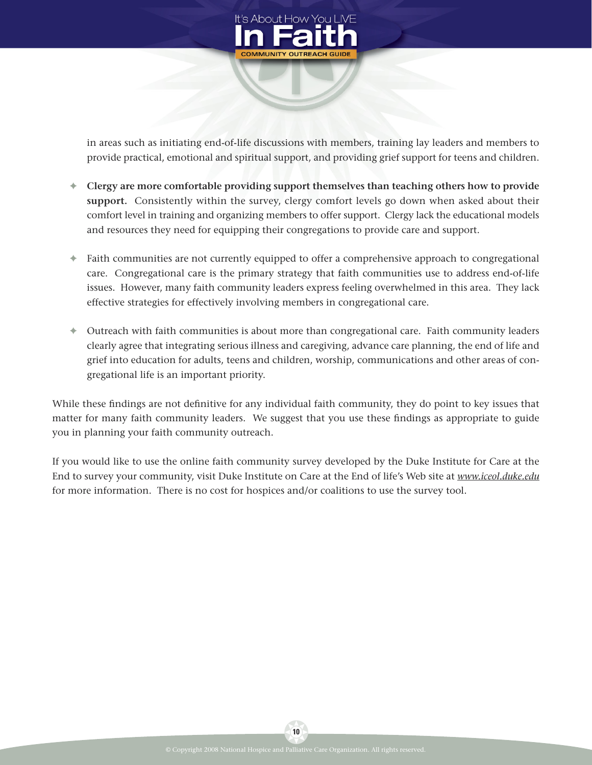

in areas such as initiating end-of-life discussions with members, training lay leaders and members to provide practical, emotional and spiritual support, and providing grief support for teens and children.

- **✦ Clergy are more comfortable providing support themselves than teaching others how to provide support.** Consistently within the survey, clergy comfort levels go down when asked about their comfort level in training and organizing members to offer support. Clergy lack the educational models and resources they need for equipping their congregations to provide care and support.
- **✦** Faith communities are not currently equipped to offer a comprehensive approach to congregational care. Congregational care is the primary strategy that faith communities use to address end-of-life issues. However, many faith community leaders express feeling overwhelmed in this area. They lack effective strategies for effectively involving members in congregational care.
- **✦** Outreach with faith communities is about more than congregational care. Faith community leaders clearly agree that integrating serious illness and caregiving, advance care planning, the end of life and grief into education for adults, teens and children, worship, communications and other areas of congregational life is an important priority.

While these findings are not definitive for any individual faith community, they do point to key issues that matter for many faith community leaders. We suggest that you use these findings as appropriate to guide you in planning your faith community outreach.

If you would like to use the online faith community survey developed by the Duke Institute for Care at the End to survey your community, visit Duke Institute on Care at the End of life's Web site at *www.iceol.duke.edu* for more information. There is no cost for hospices and/or coalitions to use the survey tool.

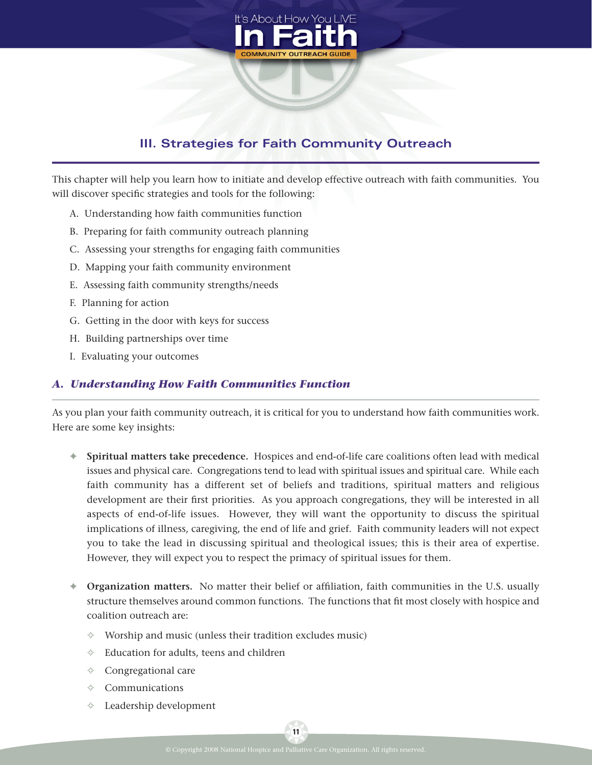

# **III. Strategies for Faith Community Outreach**

This chapter will help you learn how to initiate and develop effective outreach with faith communities. You will discover specific strategies and tools for the following:

- A. Understanding how faith communities function
- B. Preparing for faith community outreach planning
- C. Assessing your strengths for engaging faith communities
- D. Mapping your faith community environment
- E. Assessing faith community strengths/needs
- F. Planning for action
- G. Getting in the door with keys for success
- H. Building partnerships over time
- I. Evaluating your outcomes

#### *A. Understanding How Faith Communities Function*

As you plan your faith community outreach, it is critical for you to understand how faith communities work. Here are some key insights:

- **✦ Spiritual matters take precedence.** Hospices and end-of-life care coalitions often lead with medical issues and physical care. Congregations tend to lead with spiritual issues and spiritual care. While each faith community has a different set of beliefs and traditions, spiritual matters and religious development are their first priorities. As you approach congregations, they will be interested in all aspects of end-of-life issues. However, they will want the opportunity to discuss the spiritual implications of illness, caregiving, the end of life and grief. Faith community leaders will not expect you to take the lead in discussing spiritual and theological issues; this is their area of expertise. However, they will expect you to respect the primacy of spiritual issues for them.
- **← Organization matters.** No matter their belief or affiliation, faith communities in the U.S. usually structure themselves around common functions. The functions that fit most closely with hospice and coalition outreach are:
	- **✧** Worship and music (unless their tradition excludes music)
	- **✧** Education for adults, teens and children
	- **✧** Congregational care
	- **✧** Communications
	- **✧** Leadership development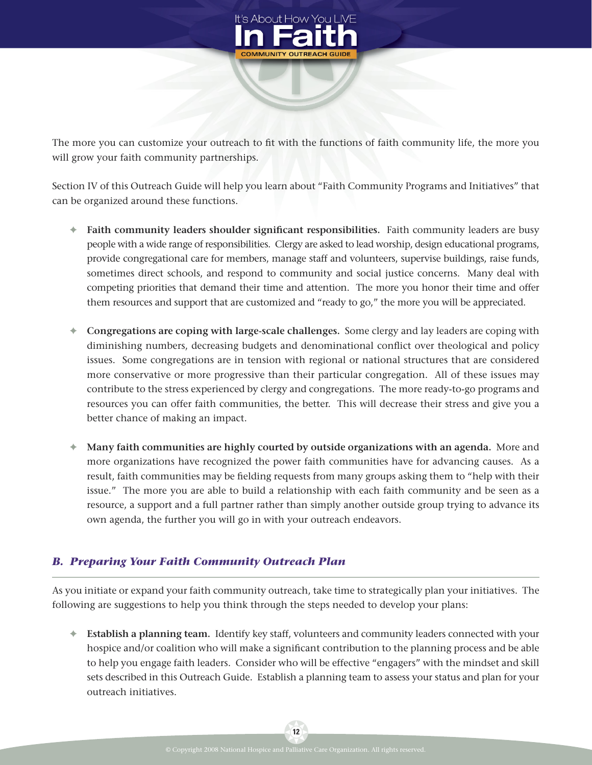

The more you can customize your outreach to fit with the functions of faith community life, the more you will grow your faith community partnerships.

Section IV of this Outreach Guide will help you learn about "Faith Community Programs and Initiatives" that can be organized around these functions.

- **←** Faith community leaders shoulder significant responsibilities. Faith community leaders are busy people with a wide range of responsibilities. Clergy are asked to lead worship, design educational programs, provide congregational care for members, manage staff and volunteers, supervise buildings, raise funds, sometimes direct schools, and respond to community and social justice concerns. Many deal with competing priorities that demand their time and attention. The more you honor their time and offer them resources and support that are customized and "ready to go," the more you will be appreciated.
- **✦ Congregations are coping with large-scale challenges.** Some clergy and lay leaders are coping with diminishing numbers, decreasing budgets and denominational conflict over theological and policy issues. Some congregations are in tension with regional or national structures that are considered more conservative or more progressive than their particular congregation. All of these issues may contribute to the stress experienced by clergy and congregations. The more ready-to-go programs and resources you can offer faith communities, the better. This will decrease their stress and give you a better chance of making an impact.
- **✦ Many faith communities are highly courted by outside organizations with an agenda.** More and more organizations have recognized the power faith communities have for advancing causes. As a result, faith communities may be fielding requests from many groups asking them to "help with their issue." The more you are able to build a relationship with each faith community and be seen as a resource, a support and a full partner rather than simply another outside group trying to advance its own agenda, the further you will go in with your outreach endeavors.

## *B. Preparing Your Faith Community Outreach Plan*

As you initiate or expand your faith community outreach, take time to strategically plan your initiatives. The following are suggestions to help you think through the steps needed to develop your plans:

**✦ Establish a planning team.** Identify key staff, volunteers and community leaders connected with your hospice and/or coalition who will make a significant contribution to the planning process and be able to help you engage faith leaders. Consider who will be effective "engagers" with the mindset and skill sets described in this Outreach Guide. Establish a planning team to assess your status and plan for your outreach initiatives.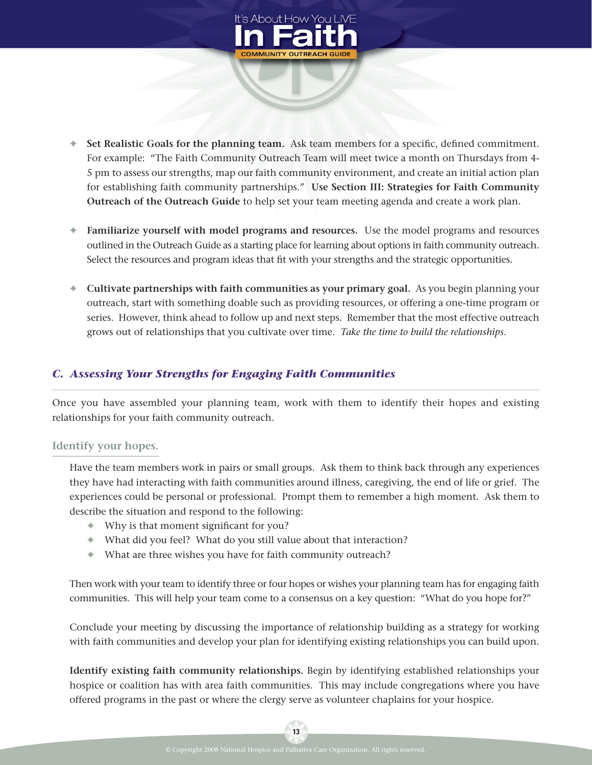

- ↑ Set Realistic Goals for the planning team. Ask team members for a specific, defined commitment. For example: "The Faith Community Outreach Team will meet twice a month on Thursdays from 4- 5 pm to assess our strengths, map our faith community environment, and create an initial action plan for establishing faith community partnerships." **Use Section III: Strategies for Faith Community Outreach of the Outreach Guide** to help set your team meeting agenda and create a work plan.
- **✦ Familiarize yourself with model programs and resources.** Use the model programs and resources outlined in the Outreach Guide as a starting place for learning about options in faith community outreach. Select the resources and program ideas that fit with your strengths and the strategic opportunities.
- **✦ Cultivate partnerships with faith communities as your primary goal.** As you begin planning your outreach, start with something doable such as providing resources, or offering a one-time program or series. However, think ahead to follow up and next steps. Remember that the most effective outreach grows out of relationships that you cultivate over time. *Take the time to build the relationships.*

## *C. Assessing Your Strengths for Engaging Faith Communities*

Once you have assembled your planning team, work with them to identify their hopes and existing relationships for your faith community outreach.

#### **Identify your hopes.**

Have the team members work in pairs or small groups. Ask them to think back through any experiences they have had interacting with faith communities around illness, caregiving, the end of life or grief. The experiences could be personal or professional. Prompt them to remember a high moment. Ask them to describe the situation and respond to the following:

- ← Why is that moment significant for you?
- **✦** What did you feel? What do you still value about that interaction?
- **✦** What are three wishes you have for faith community outreach?

Then work with your team to identify three or four hopes or wishes your planning team has for engaging faith communities. This will help your team come to a consensus on a key question: "What do you hope for?"

Conclude your meeting by discussing the importance of relationship building as a strategy for working with faith communities and develop your plan for identifying existing relationships you can build upon.

**Identify existing faith community relationships.** Begin by identifying established relationships your hospice or coalition has with area faith communities. This may include congregations where you have offered programs in the past or where the clergy serve as volunteer chaplains for your hospice.

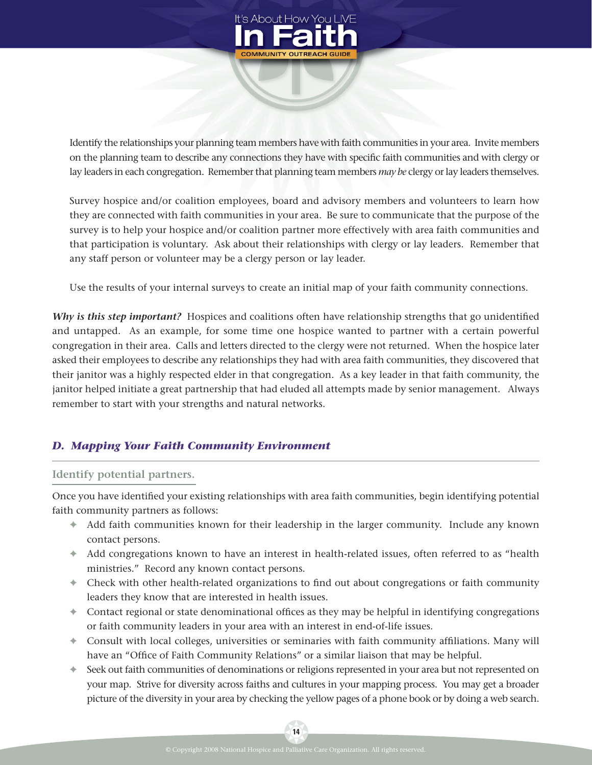

Identify the relationships your planning team members have with faith communities in your area. Invite members on the planning team to describe any connections they have with specific faith communities and with clergy or lay leaders in each congregation. Remember that planning team members *may be* clergy or lay leaders themselves.

Survey hospice and/or coalition employees, board and advisory members and volunteers to learn how they are connected with faith communities in your area. Be sure to communicate that the purpose of the survey is to help your hospice and/or coalition partner more effectively with area faith communities and that participation is voluntary. Ask about their relationships with clergy or lay leaders. Remember that any staff person or volunteer may be a clergy person or lay leader.

Use the results of your internal surveys to create an initial map of your faith community connections.

*Why is this step important?* Hospices and coalitions often have relationship strengths that go unidentified and untapped. As an example, for some time one hospice wanted to partner with a certain powerful congregation in their area. Calls and letters directed to the clergy were not returned. When the hospice later asked their employees to describe any relationships they had with area faith communities, they discovered that their janitor was a highly respected elder in that congregation. As a key leader in that faith community, the janitor helped initiate a great partnership that had eluded all attempts made by senior management. Always remember to start with your strengths and natural networks.

## *D. Mapping Your Faith Community Environment*

#### **Identify potential partners.**

Once you have identified your existing relationships with area faith communities, begin identifying potential faith community partners as follows:

- **✦** Add faith communities known for their leadership in the larger community. Include any known contact persons.
- **✦** Add congregations known to have an interest in health-related issues, often referred to as "health ministries." Record any known contact persons.
- ← Check with other health-related organizations to find out about congregations or faith community leaders they know that are interested in health issues.
- **←** Contact regional or state denominational offices as they may be helpful in identifying congregations or faith community leaders in your area with an interest in end-of-life issues.
- ← Consult with local colleges, universities or seminaries with faith community affiliations. Many will have an "Office of Faith Community Relations" or a similar liaison that may be helpful.
- **✦** Seek out faith communities of denominations or religions represented in your area but not represented on your map. Strive for diversity across faiths and cultures in your mapping process. You may get a broader picture of the diversity in your area by checking the yellow pages of a phone book or by doing a web search.

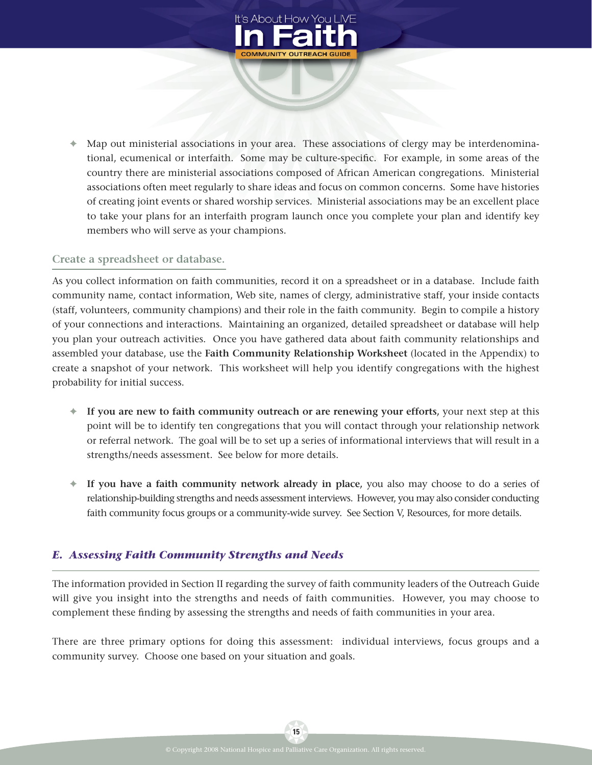

**✦** Map out ministerial associations in your area. These associations of clergy may be interdenominational, ecumenical or interfaith. Some may be culture-specific. For example, in some areas of the country there are ministerial associations composed of African American congregations. Ministerial associations often meet regularly to share ideas and focus on common concerns. Some have histories of creating joint events or shared worship services. Ministerial associations may be an excellent place to take your plans for an interfaith program launch once you complete your plan and identify key members who will serve as your champions.

#### **Create a spreadsheet or database.**

As you collect information on faith communities, record it on a spreadsheet or in a database. Include faith community name, contact information, Web site, names of clergy, administrative staff, your inside contacts (staff, volunteers, community champions) and their role in the faith community. Begin to compile a history of your connections and interactions. Maintaining an organized, detailed spreadsheet or database will help you plan your outreach activities. Once you have gathered data about faith community relationships and assembled your database, use the **Faith Community Relationship Worksheet** (located in the Appendix) to create a snapshot of your network. This worksheet will help you identify congregations with the highest probability for initial success.

- **✦ If you are new to faith community outreach or are renewing your efforts,** your next step at this point will be to identify ten congregations that you will contact through your relationship network or referral network. The goal will be to set up a series of informational interviews that will result in a strengths/needs assessment. See below for more details.
- **✦ If you have a faith community network already in place,** you also may choose to do a series of relationship-building strengths and needs assessment interviews. However, you may also consider conducting faith community focus groups or a community-wide survey. See Section V, Resources, for more details.

#### *E. Assessing Faith Community Strengths and Needs*

The information provided in Section II regarding the survey of faith community leaders of the Outreach Guide will give you insight into the strengths and needs of faith communities. However, you may choose to complement these finding by assessing the strengths and needs of faith communities in your area.

There are three primary options for doing this assessment: individual interviews, focus groups and a community survey. Choose one based on your situation and goals.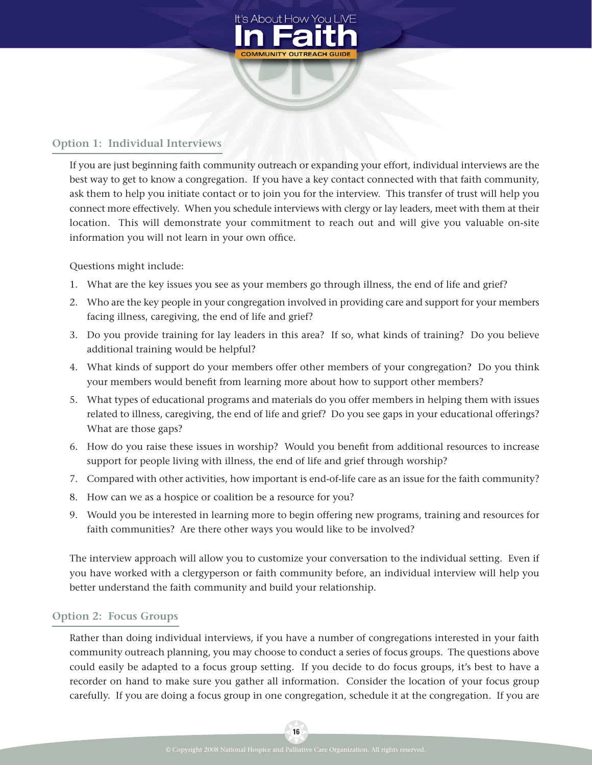

## **Option 1: Individual Interviews**

If you are just beginning faith community outreach or expanding your effort, individual interviews are the best way to get to know a congregation. If you have a key contact connected with that faith community, ask them to help you initiate contact or to join you for the interview. This transfer of trust will help you connect more effectively. When you schedule interviews with clergy or lay leaders, meet with them at their location. This will demonstrate your commitment to reach out and will give you valuable on-site information you will not learn in your own office.

Questions might include:

- 1. What are the key issues you see as your members go through illness, the end of life and grief?
- 2. Who are the key people in your congregation involved in providing care and support for your members facing illness, caregiving, the end of life and grief?
- 3. Do you provide training for lay leaders in this area? If so, what kinds of training? Do you believe additional training would be helpful?
- 4. What kinds of support do your members offer other members of your congregation? Do you think your members would benefit from learning more about how to support other members?
- 5. What types of educational programs and materials do you offer members in helping them with issues related to illness, caregiving, the end of life and grief? Do you see gaps in your educational offerings? What are those gaps?
- 6. How do you raise these issues in worship? Would you benefit from additional resources to increase support for people living with illness, the end of life and grief through worship?
- 7. Compared with other activities, how important is end-of-life care as an issue for the faith community?
- 8. How can we as a hospice or coalition be a resource for you?
- 9. Would you be interested in learning more to begin offering new programs, training and resources for faith communities? Are there other ways you would like to be involved?

The interview approach will allow you to customize your conversation to the individual setting. Even if you have worked with a clergyperson or faith community before, an individual interview will help you better understand the faith community and build your relationship.

#### **Option 2: Focus Groups**

Rather than doing individual interviews, if you have a number of congregations interested in your faith community outreach planning, you may choose to conduct a series of focus groups. The questions above could easily be adapted to a focus group setting. If you decide to do focus groups, it's best to have a recorder on hand to make sure you gather all information. Consider the location of your focus group carefully. If you are doing a focus group in one congregation, schedule it at the congregation. If you are

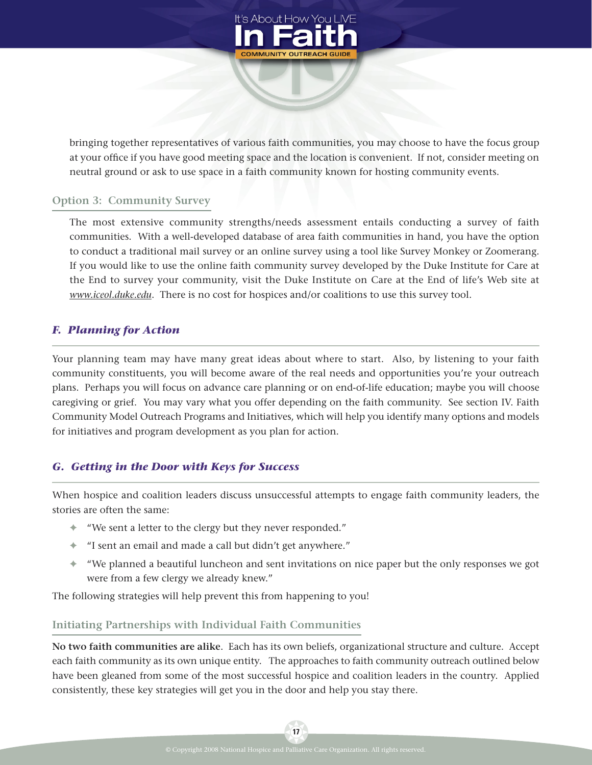

bringing together representatives of various faith communities, you may choose to have the focus group at your office if you have good meeting space and the location is convenient. If not, consider meeting on neutral ground or ask to use space in a faith community known for hosting community events.

#### **Option 3: Community Survey**

The most extensive community strengths/needs assessment entails conducting a survey of faith communities. With a well-developed database of area faith communities in hand, you have the option to conduct a traditional mail survey or an online survey using a tool like Survey Monkey or Zoomerang. If you would like to use the online faith community survey developed by the Duke Institute for Care at the End to survey your community, visit the Duke Institute on Care at the End of life's Web site at *www.iceol.duke.edu*. There is no cost for hospices and/or coalitions to use this survey tool.

#### *F. Planning for Action*

Your planning team may have many great ideas about where to start. Also, by listening to your faith community constituents, you will become aware of the real needs and opportunities you're your outreach plans. Perhaps you will focus on advance care planning or on end-of-life education; maybe you will choose caregiving or grief. You may vary what you offer depending on the faith community. See section IV. Faith Community Model Outreach Programs and Initiatives, which will help you identify many options and models for initiatives and program development as you plan for action.

#### *G. Getting in the Door with Keys for Success*

When hospice and coalition leaders discuss unsuccessful attempts to engage faith community leaders, the stories are often the same:

- **✦** "We sent a letter to the clergy but they never responded."
- **✦** "I sent an email and made a call but didn't get anywhere."
- **✦** "We planned a beautiful luncheon and sent invitations on nice paper but the only responses we got were from a few clergy we already knew."

The following strategies will help prevent this from happening to you!

#### **Initiating Partnerships with Individual Faith Communities**

**No two faith communities are alike**. Each has its own beliefs, organizational structure and culture. Accept each faith community as its own unique entity. The approaches to faith community outreach outlined below have been gleaned from some of the most successful hospice and coalition leaders in the country. Applied consistently, these key strategies will get you in the door and help you stay there.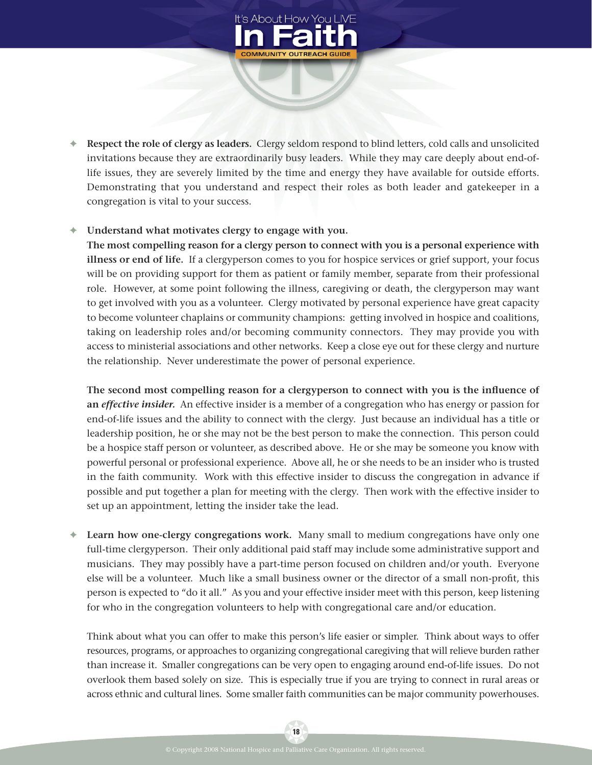

**✦ Respect the role of clergy as leaders.** Clergy seldom respond to blind letters, cold calls and unsolicited invitations because they are extraordinarily busy leaders. While they may care deeply about end-oflife issues, they are severely limited by the time and energy they have available for outside efforts. Demonstrating that you understand and respect their roles as both leader and gatekeeper in a congregation is vital to your success.

#### **✦ Understand what motivates clergy to engage with you.**

**The most compelling reason for a clergy person to connect with you is a personal experience with illness or end of life.** If a clergyperson comes to you for hospice services or grief support, your focus will be on providing support for them as patient or family member, separate from their professional role. However, at some point following the illness, caregiving or death, the clergyperson may want to get involved with you as a volunteer. Clergy motivated by personal experience have great capacity to become volunteer chaplains or community champions: getting involved in hospice and coalitions, taking on leadership roles and/or becoming community connectors. They may provide you with access to ministerial associations and other networks. Keep a close eye out for these clergy and nurture the relationship. Never underestimate the power of personal experience.

The second most compelling reason for a clergyperson to connect with you is the influence of **an** *effective insider.* An effective insider is a member of a congregation who has energy or passion for end-of-life issues and the ability to connect with the clergy. Just because an individual has a title or leadership position, he or she may not be the best person to make the connection. This person could be a hospice staff person or volunteer, as described above. He or she may be someone you know with powerful personal or professional experience. Above all, he or she needs to be an insider who is trusted in the faith community. Work with this effective insider to discuss the congregation in advance if possible and put together a plan for meeting with the clergy. Then work with the effective insider to set up an appointment, letting the insider take the lead.

**✦ Learn how one-clergy congregations work.** Many small to medium congregations have only one full-time clergyperson. Their only additional paid staff may include some administrative support and musicians. They may possibly have a part-time person focused on children and/or youth. Everyone else will be a volunteer. Much like a small business owner or the director of a small non-profit, this person is expected to "do it all." As you and your effective insider meet with this person, keep listening for who in the congregation volunteers to help with congregational care and/or education.

Think about what you can offer to make this person's life easier or simpler. Think about ways to offer resources, programs, or approaches to organizing congregational caregiving that will relieve burden rather than increase it. Smaller congregations can be very open to engaging around end-of-life issues. Do not overlook them based solely on size. This is especially true if you are trying to connect in rural areas or across ethnic and cultural lines. Some smaller faith communities can be major community powerhouses.

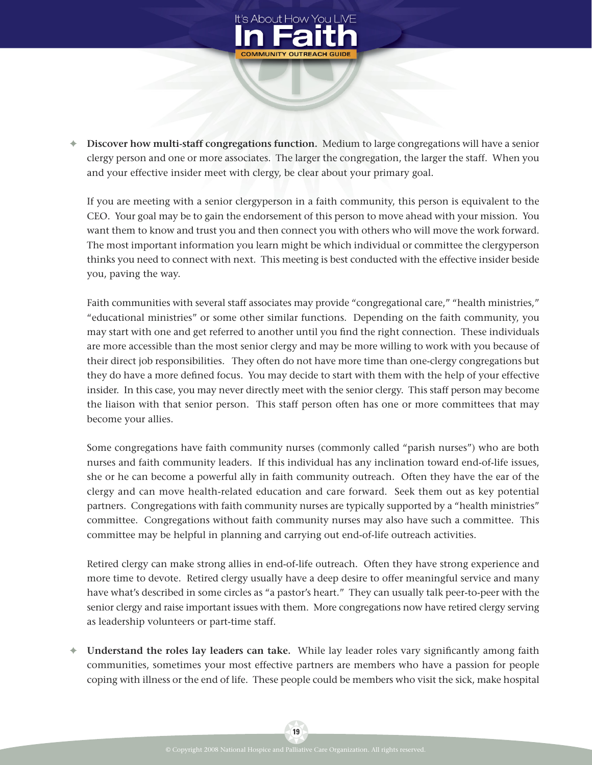

**✦ Discover how multi-staff congregations function.** Medium to large congregations will have a senior clergy person and one or more associates. The larger the congregation, the larger the staff. When you and your effective insider meet with clergy, be clear about your primary goal.

If you are meeting with a senior clergyperson in a faith community, this person is equivalent to the CEO. Your goal may be to gain the endorsement of this person to move ahead with your mission. You want them to know and trust you and then connect you with others who will move the work forward. The most important information you learn might be which individual or committee the clergyperson thinks you need to connect with next. This meeting is best conducted with the effective insider beside you, paving the way.

Faith communities with several staff associates may provide "congregational care," "health ministries," "educational ministries" or some other similar functions. Depending on the faith community, you may start with one and get referred to another until you find the right connection. These individuals are more accessible than the most senior clergy and may be more willing to work with you because of their direct job responsibilities. They often do not have more time than one-clergy congregations but they do have a more defined focus. You may decide to start with them with the help of your effective insider. In this case, you may never directly meet with the senior clergy. This staff person may become the liaison with that senior person. This staff person often has one or more committees that may become your allies.

Some congregations have faith community nurses (commonly called "parish nurses") who are both nurses and faith community leaders. If this individual has any inclination toward end-of-life issues, she or he can become a powerful ally in faith community outreach. Often they have the ear of the clergy and can move health-related education and care forward. Seek them out as key potential partners. Congregations with faith community nurses are typically supported by a "health ministries" committee. Congregations without faith community nurses may also have such a committee. This committee may be helpful in planning and carrying out end-of-life outreach activities.

Retired clergy can make strong allies in end-of-life outreach. Often they have strong experience and more time to devote. Retired clergy usually have a deep desire to offer meaningful service and many have what's described in some circles as "a pastor's heart." They can usually talk peer-to-peer with the senior clergy and raise important issues with them. More congregations now have retired clergy serving as leadership volunteers or part-time staff.

← **Understand the roles lay leaders can take.** While lay leader roles vary significantly among faith communities, sometimes your most effective partners are members who have a passion for people coping with illness or the end of life. These people could be members who visit the sick, make hospital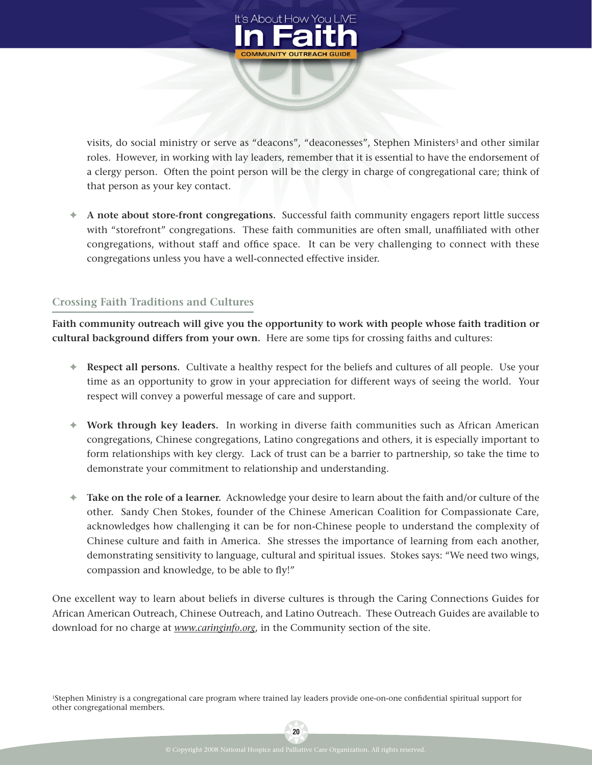

visits, do social ministry or serve as "deacons", "deaconesses", Stephen Ministers<sup>3</sup> and other similar roles. However, in working with lay leaders, remember that it is essential to have the endorsement of a clergy person. Often the point person will be the clergy in charge of congregational care; think of that person as your key contact.

**✦ A note about store-front congregations.** Successful faith community engagers report little success with "storefront" congregations. These faith communities are often small, unaffiliated with other congregations, without staff and office space. It can be very challenging to connect with these congregations unless you have a well-connected effective insider.

#### **Crossing Faith Traditions and Cultures**

**Faith community outreach will give you the opportunity to work with people whose faith tradition or cultural background differs from your own.** Here are some tips for crossing faiths and cultures:

- **✦ Respect all persons.** Cultivate a healthy respect for the beliefs and cultures of all people. Use your time as an opportunity to grow in your appreciation for different ways of seeing the world. Your respect will convey a powerful message of care and support.
- **✦ Work through key leaders.** In working in diverse faith communities such as African American congregations, Chinese congregations, Latino congregations and others, it is especially important to form relationships with key clergy. Lack of trust can be a barrier to partnership, so take the time to demonstrate your commitment to relationship and understanding.
- **✦ Take on the role of a learner.** Acknowledge your desire to learn about the faith and/or culture of the other. Sandy Chen Stokes, founder of the Chinese American Coalition for Compassionate Care, acknowledges how challenging it can be for non-Chinese people to understand the complexity of Chinese culture and faith in America. She stresses the importance of learning from each another, demonstrating sensitivity to language, cultural and spiritual issues. Stokes says: "We need two wings, compassion and knowledge, to be able to fly!"

One excellent way to learn about beliefs in diverse cultures is through the Caring Connections Guides for African American Outreach, Chinese Outreach, and Latino Outreach. These Outreach Guides are available to download for no charge at *www.caringinfo.org*, in the Community section of the site.

<sup>1</sup>Stephen Ministry is a congregational care program where trained lay leaders provide one-on-one confidential spiritual support for other congregational members.

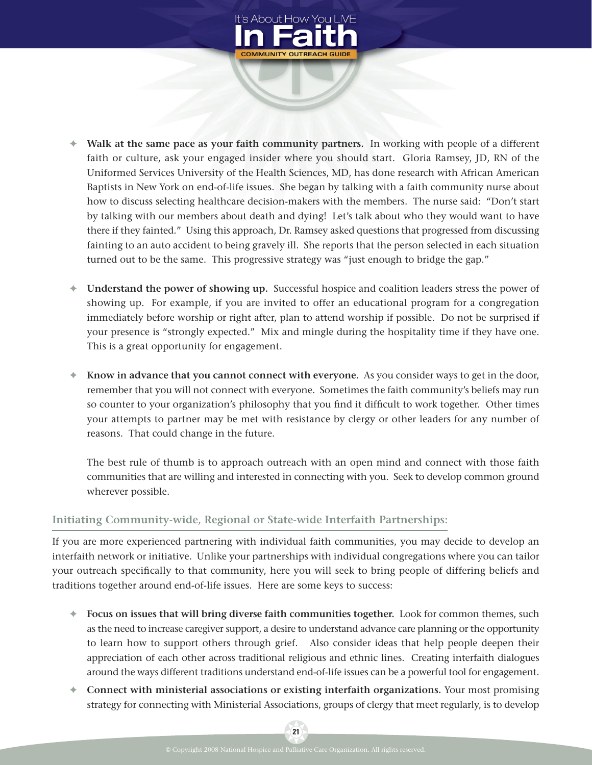

- **✦ Walk at the same pace as your faith community partners.** In working with people of a different faith or culture, ask your engaged insider where you should start. Gloria Ramsey, JD, RN of the Uniformed Services University of the Health Sciences, MD, has done research with African American Baptists in New York on end-of-life issues. She began by talking with a faith community nurse about how to discuss selecting healthcare decision-makers with the members. The nurse said: "Don't start by talking with our members about death and dying! Let's talk about who they would want to have there if they fainted." Using this approach, Dr. Ramsey asked questions that progressed from discussing fainting to an auto accident to being gravely ill. She reports that the person selected in each situation turned out to be the same. This progressive strategy was "just enough to bridge the gap."
- **✦ Understand the power of showing up.** Successful hospice and coalition leaders stress the power of showing up. For example, if you are invited to offer an educational program for a congregation immediately before worship or right after, plan to attend worship if possible. Do not be surprised if your presence is "strongly expected." Mix and mingle during the hospitality time if they have one. This is a great opportunity for engagement.
- **✦ Know in advance that you cannot connect with everyone.** As you consider ways to get in the door, remember that you will not connect with everyone. Sometimes the faith community's beliefs may run so counter to your organization's philosophy that you find it difficult to work together. Other times your attempts to partner may be met with resistance by clergy or other leaders for any number of reasons. That could change in the future.

The best rule of thumb is to approach outreach with an open mind and connect with those faith communities that are willing and interested in connecting with you. Seek to develop common ground wherever possible.

#### **Initiating Community-wide, Regional or State-wide Interfaith Partnerships:**

If you are more experienced partnering with individual faith communities, you may decide to develop an interfaith network or initiative. Unlike your partnerships with individual congregations where you can tailor your outreach specifically to that community, here you will seek to bring people of differing beliefs and traditions together around end-of-life issues. Here are some keys to success:

- **✦ Focus on issues that will bring diverse faith communities together.** Look for common themes, such as the need to increase caregiver support, a desire to understand advance care planning or the opportunity to learn how to support others through grief. Also consider ideas that help people deepen their appreciation of each other across traditional religious and ethnic lines. Creating interfaith dialogues around the ways different traditions understand end-of-life issues can be a powerful tool for engagement.
- **✦ Connect with ministerial associations or existing interfaith organizations.** Your most promising strategy for connecting with Ministerial Associations, groups of clergy that meet regularly, is to develop

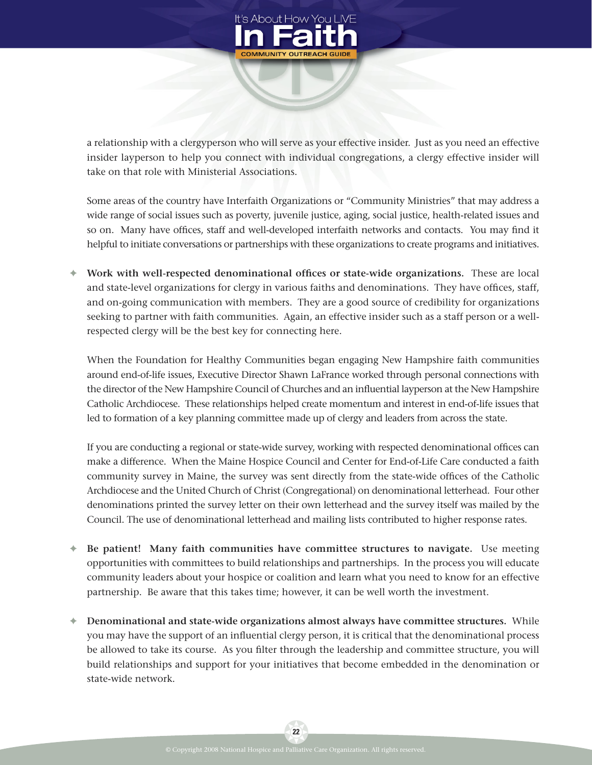

a relationship with a clergyperson who will serve as your effective insider. Just as you need an effective insider layperson to help you connect with individual congregations, a clergy effective insider will take on that role with Ministerial Associations.

Some areas of the country have Interfaith Organizations or "Community Ministries" that may address a wide range of social issues such as poverty, juvenile justice, aging, social justice, health-related issues and so on. Many have offices, staff and well-developed interfaith networks and contacts. You mav find it helpful to initiate conversations or partnerships with these organizations to create programs and initiatives.

**♦ Work with well-respected denominational offices or state-wide organizations.** These are local and state-level organizations for clergy in various faiths and denominations. They have offices, staff, and on-going communication with members. They are a good source of credibility for organizations seeking to partner with faith communities. Again, an effective insider such as a staff person or a wellrespected clergy will be the best key for connecting here.

When the Foundation for Healthy Communities began engaging New Hampshire faith communities around end-of-life issues, Executive Director Shawn LaFrance worked through personal connections with the director of the New Hampshire Council of Churches and an influential layperson at the New Hampshire Catholic Archdiocese. These relationships helped create momentum and interest in end-of-life issues that led to formation of a key planning committee made up of clergy and leaders from across the state.

If you are conducting a regional or state-wide survey, working with respected denominational offices can make a difference. When the Maine Hospice Council and Center for End-of-Life Care conducted a faith community survey in Maine, the survey was sent directly from the state-wide offices of the Catholic Archdiocese and the United Church of Christ (Congregational) on denominational letterhead. Four other denominations printed the survey letter on their own letterhead and the survey itself was mailed by the Council. The use of denominational letterhead and mailing lists contributed to higher response rates.

- **✦ Be patient! Many faith communities have committee structures to navigate.** Use meeting opportunities with committees to build relationships and partnerships. In the process you will educate community leaders about your hospice or coalition and learn what you need to know for an effective partnership. Be aware that this takes time; however, it can be well worth the investment.
- **✦ Denominational and state-wide organizations almost always have committee structures.** While you may have the support of an influential clergy person, it is critical that the denominational process be allowed to take its course. As you filter through the leadership and committee structure, you will build relationships and support for your initiatives that become embedded in the denomination or state-wide network.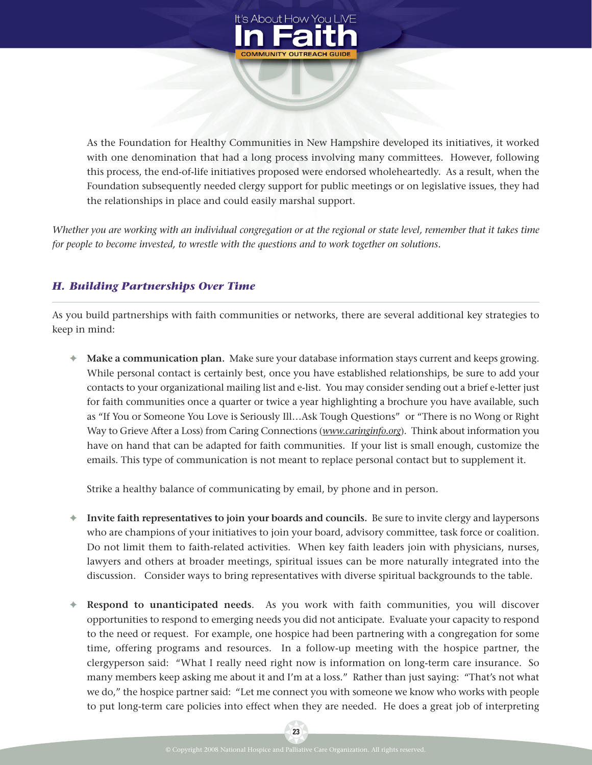

As the Foundation for Healthy Communities in New Hampshire developed its initiatives, it worked with one denomination that had a long process involving many committees. However, following this process, the end-of-life initiatives proposed were endorsed wholeheartedly. As a result, when the Foundation subsequently needed clergy support for public meetings or on legislative issues, they had the relationships in place and could easily marshal support.

*Whether you are working with an individual congregation or at the regional or state level, remember that it takes time for people to become invested, to wrestle with the questions and to work together on solutions.*

## *H. Building Partnerships Over Time*

As you build partnerships with faith communities or networks, there are several additional key strategies to keep in mind:

**✦ Make a communication plan.** Make sure your database information stays current and keeps growing. While personal contact is certainly best, once you have established relationships, be sure to add your contacts to your organizational mailing list and e-list. You may consider sending out a brief e-letter just for faith communities once a quarter or twice a year highlighting a brochure you have available, such as "If You or Someone You Love is Seriously Ill…Ask Tough Questions" or "There is no Wong or Right Way to Grieve After a Loss) from Caring Connections (*www.caringinfo.org*). Think about information you have on hand that can be adapted for faith communities. If your list is small enough, customize the emails. This type of communication is not meant to replace personal contact but to supplement it.

Strike a healthy balance of communicating by email, by phone and in person.

- **✦ Invite faith representatives to join your boards and councils.** Be sure to invite clergy and laypersons who are champions of your initiatives to join your board, advisory committee, task force or coalition. Do not limit them to faith-related activities. When key faith leaders join with physicians, nurses, lawyers and others at broader meetings, spiritual issues can be more naturally integrated into the discussion. Consider ways to bring representatives with diverse spiritual backgrounds to the table.
- **✦ Respond to unanticipated needs**. As you work with faith communities, you will discover opportunities to respond to emerging needs you did not anticipate. Evaluate your capacity to respond to the need or request. For example, one hospice had been partnering with a congregation for some time, offering programs and resources. In a follow-up meeting with the hospice partner, the clergyperson said: "What I really need right now is information on long-term care insurance. So many members keep asking me about it and I'm at a loss." Rather than just saying: "That's not what we do," the hospice partner said: "Let me connect you with someone we know who works with people to put long-term care policies into effect when they are needed. He does a great job of interpreting

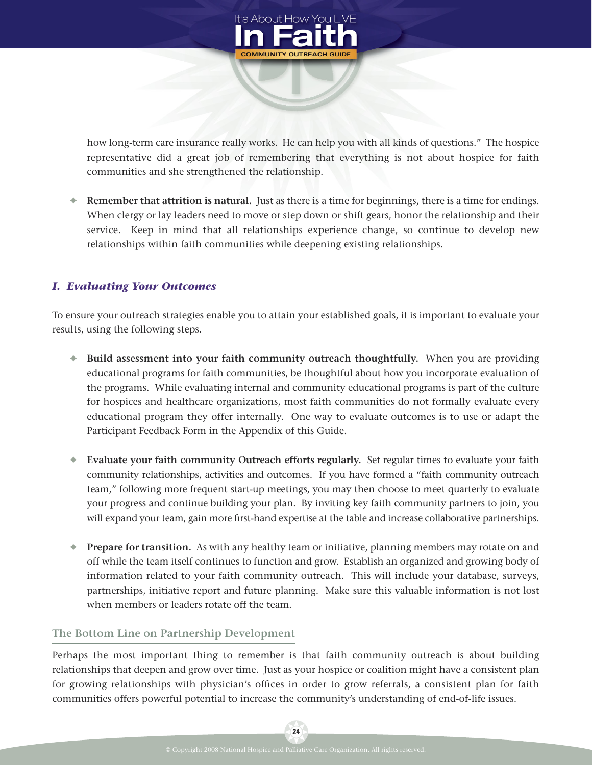

how long-term care insurance really works. He can help you with all kinds of questions." The hospice representative did a great job of remembering that everything is not about hospice for faith communities and she strengthened the relationship.

**✦ Remember that attrition is natural.** Just as there is a time for beginnings, there is a time for endings. When clergy or lay leaders need to move or step down or shift gears, honor the relationship and their service. Keep in mind that all relationships experience change, so continue to develop new relationships within faith communities while deepening existing relationships.

## *I. Evaluating Your Outcomes*

To ensure your outreach strategies enable you to attain your established goals, it is important to evaluate your results, using the following steps.

- **✦ Build assessment into your faith community outreach thoughtfully.** When you are providing educational programs for faith communities, be thoughtful about how you incorporate evaluation of the programs. While evaluating internal and community educational programs is part of the culture for hospices and healthcare organizations, most faith communities do not formally evaluate every educational program they offer internally. One way to evaluate outcomes is to use or adapt the Participant Feedback Form in the Appendix of this Guide.
- **✦ Evaluate your faith community Outreach efforts regularly.** Set regular times to evaluate your faith community relationships, activities and outcomes. If you have formed a "faith community outreach team," following more frequent start-up meetings, you may then choose to meet quarterly to evaluate your progress and continue building your plan. By inviting key faith community partners to join, you will expand your team, gain more first-hand expertise at the table and increase collaborative partnerships.
- **✦ Prepare for transition.** As with any healthy team or initiative, planning members may rotate on and off while the team itself continues to function and grow. Establish an organized and growing body of information related to your faith community outreach. This will include your database, surveys, partnerships, initiative report and future planning. Make sure this valuable information is not lost when members or leaders rotate off the team.

#### **The Bottom Line on Partnership Development**

Perhaps the most important thing to remember is that faith community outreach is about building relationships that deepen and grow over time. Just as your hospice or coalition might have a consistent plan for growing relationships with physician's offices in order to grow referrals, a consistent plan for faith communities offers powerful potential to increase the community's understanding of end-of-life issues.

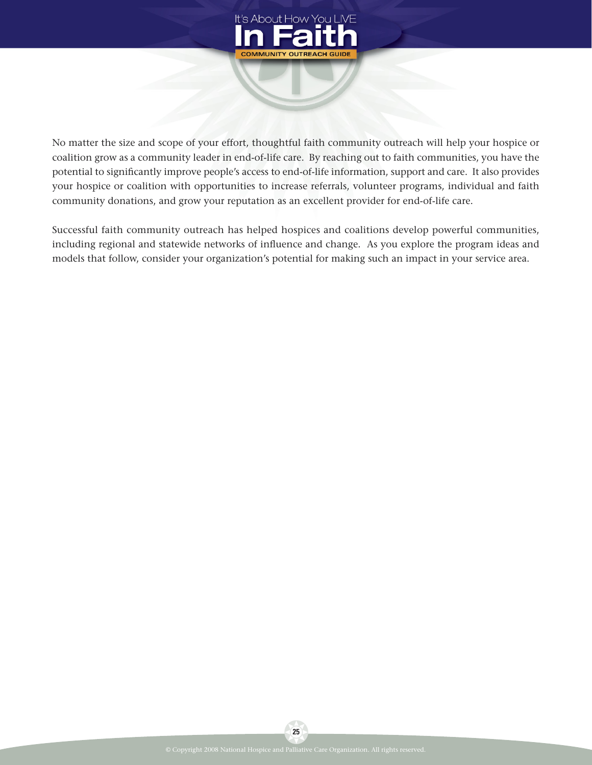

No matter the size and scope of your effort, thoughtful faith community outreach will help your hospice or coalition grow as a community leader in end-of-life care. By reaching out to faith communities, you have the potential to significantly improve people's access to end-of-life information, support and care. It also provides your hospice or coalition with opportunities to increase referrals, volunteer programs, individual and faith community donations, and grow your reputation as an excellent provider for end-of-life care.

Successful faith community outreach has helped hospices and coalitions develop powerful communities, including regional and statewide networks of influence and change. As you explore the program ideas and models that follow, consider your organization's potential for making such an impact in your service area.

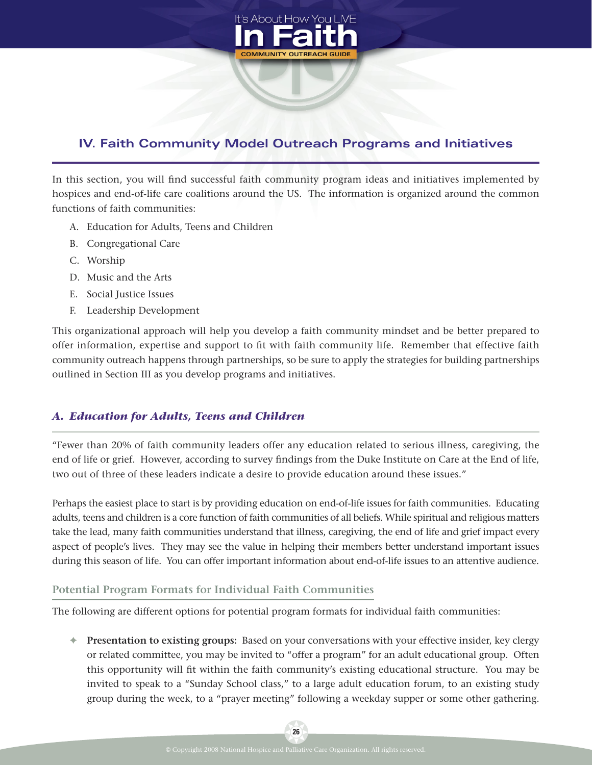

# **IV. Faith Community Model Outreach Programs and Initiatives**

In this section, you will find successful faith community program ideas and initiatives implemented by hospices and end-of-life care coalitions around the US. The information is organized around the common functions of faith communities:

- A. Education for Adults, Teens and Children
- B. Congregational Care
- C. Worship
- D. Music and the Arts
- E. Social Justice Issues
- F. Leadership Development

This organizational approach will help you develop a faith community mindset and be better prepared to offer information, expertise and support to fit with faith community life. Remember that effective faith community outreach happens through partnerships, so be sure to apply the strategies for building partnerships outlined in Section III as you develop programs and initiatives.

## *A. Education for Adults, Teens and Children*

"Fewer than 20% of faith community leaders offer any education related to serious illness, caregiving, the end of life or grief. However, according to survey findings from the Duke Institute on Care at the End of life, two out of three of these leaders indicate a desire to provide education around these issues."

Perhaps the easiest place to start is by providing education on end-of-life issues for faith communities. Educating adults, teens and children is a core function of faith communities of all beliefs. While spiritual and religious matters take the lead, many faith communities understand that illness, caregiving, the end of life and grief impact every aspect of people's lives. They may see the value in helping their members better understand important issues during this season of life. You can offer important information about end-of-life issues to an attentive audience.

#### **Potential Program Formats for Individual Faith Communities**

The following are different options for potential program formats for individual faith communities:

**✦ Presentation to existing groups:** Based on your conversations with your effective insider, key clergy or related committee, you may be invited to "offer a program" for an adult educational group. Often this opportunity will fit within the faith community's existing educational structure. You may be invited to speak to a "Sunday School class," to a large adult education forum, to an existing study group during the week, to a "prayer meeting" following a weekday supper or some other gathering.

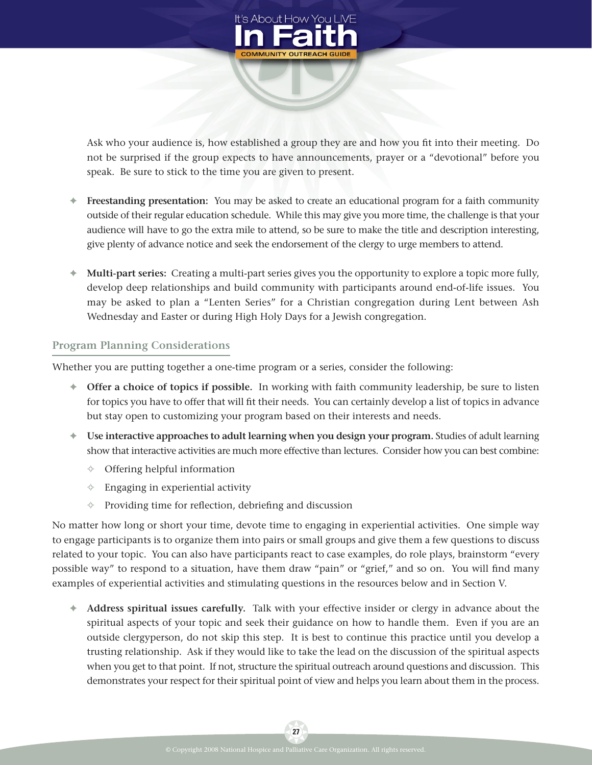

Ask who your audience is, how established a group they are and how you fit into their meeting. Do not be surprised if the group expects to have announcements, prayer or a "devotional" before you speak. Be sure to stick to the time you are given to present.

- **✦ Freestanding presentation:** You may be asked to create an educational program for a faith community outside of their regular education schedule. While this may give you more time, the challenge is that your audience will have to go the extra mile to attend, so be sure to make the title and description interesting, give plenty of advance notice and seek the endorsement of the clergy to urge members to attend.
- **✦ Multi-part series:** Creating a multi-part series gives you the opportunity to explore a topic more fully, develop deep relationships and build community with participants around end-of-life issues. You may be asked to plan a "Lenten Series" for a Christian congregation during Lent between Ash Wednesday and Easter or during High Holy Days for a Jewish congregation.

#### **Program Planning Considerations**

Whether you are putting together a one-time program or a series, consider the following:

- **✦ Offer a choice of topics if possible.** In working with faith community leadership, be sure to listen for topics you have to offer that will fit their needs. You can certainly develop a list of topics in advance but stay open to customizing your program based on their interests and needs.
- **✦ Use interactive approaches to adult learning when you design your program.** Studies of adult learning show that interactive activities are much more effective than lectures. Consider how you can best combine:
	- **✧** Offering helpful information
	- **✧** Engaging in experiential activity
	- ↑ Providing time for reflection, debriefing and discussion

No matter how long or short your time, devote time to engaging in experiential activities. One simple way to engage participants is to organize them into pairs or small groups and give them a few questions to discuss related to your topic. You can also have participants react to case examples, do role plays, brainstorm "every possible way" to respond to a situation, have them draw "pain" or "grief," and so on. You will find many examples of experiential activities and stimulating questions in the resources below and in Section V.

**✦ Address spiritual issues carefully.** Talk with your effective insider or clergy in advance about the spiritual aspects of your topic and seek their guidance on how to handle them. Even if you are an outside clergyperson, do not skip this step. It is best to continue this practice until you develop a trusting relationship. Ask if they would like to take the lead on the discussion of the spiritual aspects when you get to that point. If not, structure the spiritual outreach around questions and discussion. This demonstrates your respect for their spiritual point of view and helps you learn about them in the process.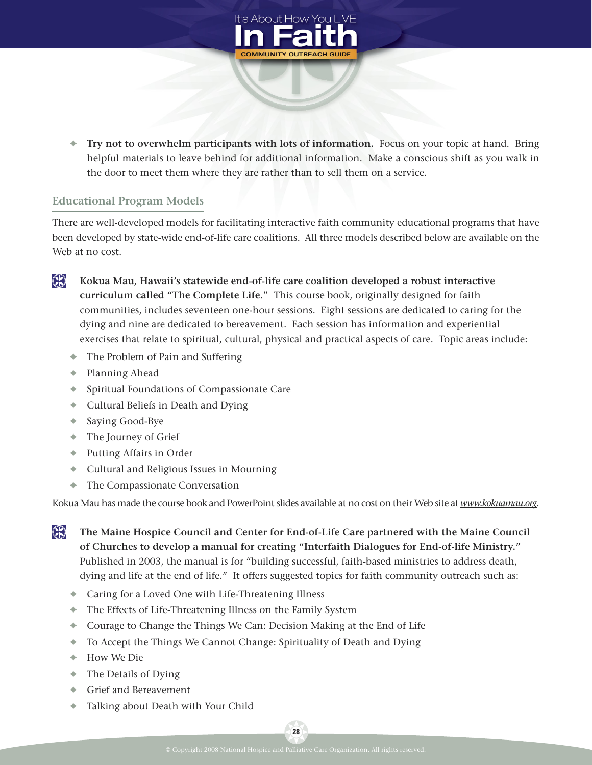

**✦ Try not to overwhelm participants with lots of information.** Focus on your topic at hand. Bring helpful materials to leave behind for additional information. Make a conscious shift as you walk in the door to meet them where they are rather than to sell them on a service.

#### **Educational Program Models**

There are well-developed models for facilitating interactive faith community educational programs that have been developed by state-wide end-of-life care coalitions. All three models described below are available on the Web at no cost.

⊕

**Kokua Mau, Hawaii's statewide end-of-life care coalition developed a robust interactive curriculum called "The Complete Life."** This course book, originally designed for faith communities, includes seventeen one-hour sessions. Eight sessions are dedicated to caring for the dying and nine are dedicated to bereavement. Each session has information and experiential exercises that relate to spiritual, cultural, physical and practical aspects of care. Topic areas include:

- **✦** The Problem of Pain and Suffering
- **✦** Planning Ahead
- **✦** Spiritual Foundations of Compassionate Care
- **✦** Cultural Beliefs in Death and Dying
- **✦** Saying Good-Bye
- **✦** The Journey of Grief
- **✦** Putting Affairs in Order
- **✦** Cultural and Religious Issues in Mourning
- **✦** The Compassionate Conversation

Kokua Mau has made the course book and PowerPoint slides available at no cost on their Web site at *www.kokuamau.org*.

- ⊕ **The Maine Hospice Council and Center for End-of-Life Care partnered with the Maine Council of Churches to develop a manual for creating "Interfaith Dialogues for End-of-life Ministry."** Published in 2003, the manual is for "building successful, faith-based ministries to address death, dying and life at the end of life." It offers suggested topics for faith community outreach such as:
	- **✦** Caring for a Loved One with Life-Threatening Illness
	- **✦** The Effects of Life-Threatening Illness on the Family System
	- **✦** Courage to Change the Things We Can: Decision Making at the End of Life
	- **✦** To Accept the Things We Cannot Change: Spirituality of Death and Dying
	- **✦** How We Die
	- **✦** The Details of Dying
	- **✦** Grief and Bereavement
	- **✦** Talking about Death with Your Child

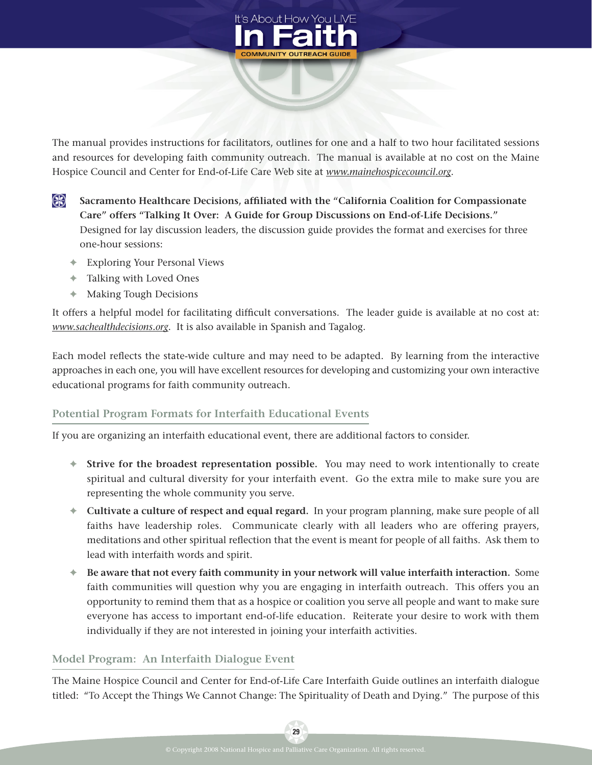

The manual provides instructions for facilitators, outlines for one and a half to two hour facilitated sessions and resources for developing faith community outreach. The manual is available at no cost on the Maine Hospice Council and Center for End-of-Life Care Web site at *www.mainehospicecouncil.org*.

- ⊕ **Sacramento Healthcare Decisions, afHliated with the "California Coalition for Compassionate Care" offers "Talking It Over: A Guide for Group Discussions on End-of-Life Decisions."** Designed for lay discussion leaders, the discussion guide provides the format and exercises for three one-hour sessions:
	- **✦** Exploring Your Personal Views
	- **✦** Talking with Loved Ones
	- **✦** Making Tough Decisions

It offers a helpful model for facilitating difficult conversations. The leader guide is available at no cost at: *www.sachealthdecisions.org*. It is also available in Spanish and Tagalog.

Each model reflects the state-wide culture and may need to be adapted. By learning from the interactive approaches in each one, you will have excellent resources for developing and customizing your own interactive educational programs for faith community outreach.

#### **Potential Program Formats for Interfaith Educational Events**

If you are organizing an interfaith educational event, there are additional factors to consider.

- **✦ Strive for the broadest representation possible.** You may need to work intentionally to create spiritual and cultural diversity for your interfaith event. Go the extra mile to make sure you are representing the whole community you serve.
- **✦ Cultivate a culture of respect and equal regard.** In your program planning, make sure people of all faiths have leadership roles. Communicate clearly with all leaders who are offering prayers, meditations and other spiritual reflection that the event is meant for people of all faiths. Ask them to lead with interfaith words and spirit.
- **✦ Be aware that not every faith community in your network will value interfaith interaction.** Some faith communities will question why you are engaging in interfaith outreach. This offers you an opportunity to remind them that as a hospice or coalition you serve all people and want to make sure everyone has access to important end-of-life education. Reiterate your desire to work with them individually if they are not interested in joining your interfaith activities.

#### **Model Program: An Interfaith Dialogue Event**

The Maine Hospice Council and Center for End-of-Life Care Interfaith Guide outlines an interfaith dialogue titled: "To Accept the Things We Cannot Change: The Spirituality of Death and Dying." The purpose of this

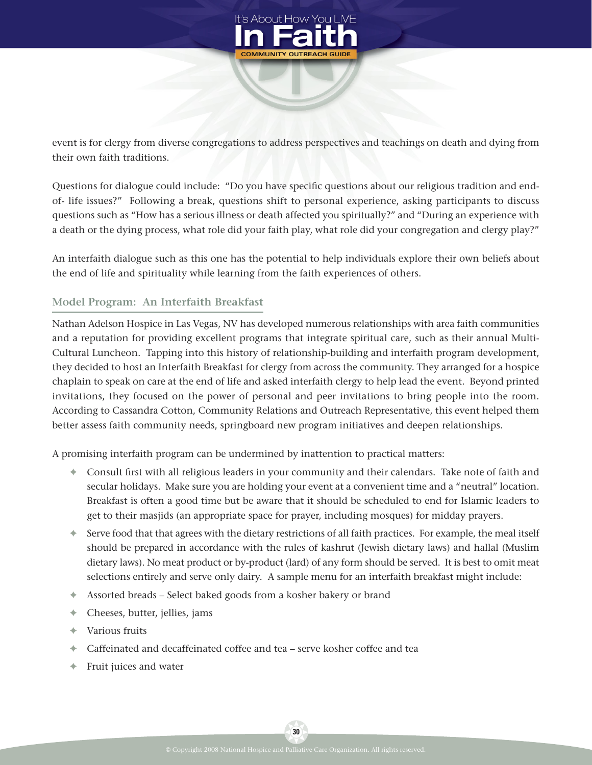

event is for clergy from diverse congregations to address perspectives and teachings on death and dying from their own faith traditions.

Questions for dialogue could include: "Do you have specific questions about our religious tradition and endof- life issues?" Following a break, questions shift to personal experience, asking participants to discuss questions such as "How has a serious illness or death affected you spiritually?" and "During an experience with a death or the dying process, what role did your faith play, what role did your congregation and clergy play?"

An interfaith dialogue such as this one has the potential to help individuals explore their own beliefs about the end of life and spirituality while learning from the faith experiences of others.

## **Model Program: An Interfaith Breakfast**

Nathan Adelson Hospice in Las Vegas, NV has developed numerous relationships with area faith communities and a reputation for providing excellent programs that integrate spiritual care, such as their annual Multi-Cultural Luncheon. Tapping into this history of relationship-building and interfaith program development, they decided to host an Interfaith Breakfast for clergy from across the community. They arranged for a hospice chaplain to speak on care at the end of life and asked interfaith clergy to help lead the event. Beyond printed invitations, they focused on the power of personal and peer invitations to bring people into the room. According to Cassandra Cotton, Community Relations and Outreach Representative, this event helped them better assess faith community needs, springboard new program initiatives and deepen relationships.

A promising interfaith program can be undermined by inattention to practical matters:

- **✦** Consult Trst with all religious leaders in your community and their calendars. Take note of faith and secular holidays. Make sure you are holding your event at a convenient time and a "neutral" location. Breakfast is often a good time but be aware that it should be scheduled to end for Islamic leaders to get to their masjids (an appropriate space for prayer, including mosques) for midday prayers.
- **✦** Serve food that that agrees with the dietary restrictions of all faith practices. For example, the meal itself should be prepared in accordance with the rules of kashrut (Jewish dietary laws) and hallal (Muslim dietary laws). No meat product or by-product (lard) of any form should be served. It is best to omit meat selections entirely and serve only dairy. A sample menu for an interfaith breakfast might include:
- **✦** Assorted breads Select baked goods from a kosher bakery or brand
- **✦** Cheeses, butter, jellies, jams
- **✦** Various fruits
- **✦** Caffeinated and decaffeinated coffee and tea serve kosher coffee and tea
- **✦** Fruit juices and water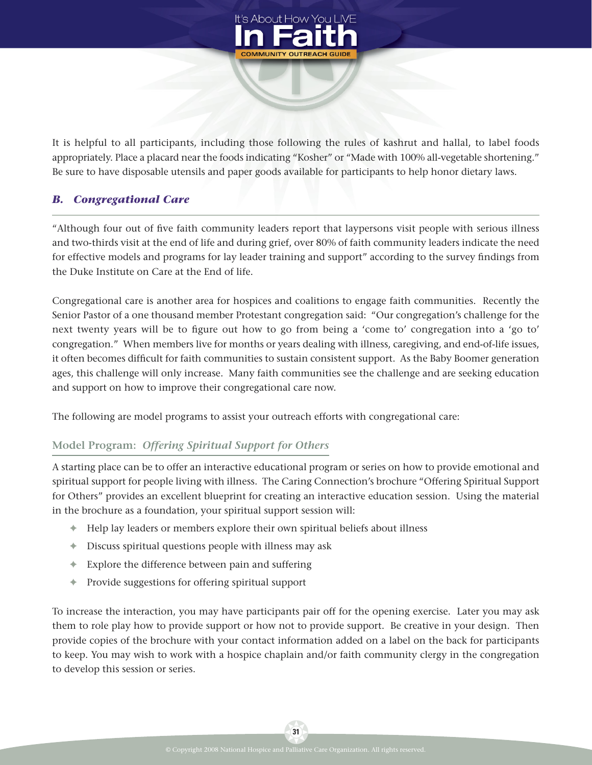

It is helpful to all participants, including those following the rules of kashrut and hallal, to label foods appropriately. Place a placard near the foods indicating "Kosher" or "Made with 100% all-vegetable shortening." Be sure to have disposable utensils and paper goods available for participants to help honor dietary laws.

## *B. Congregational Care*

"Although four out of five faith community leaders report that laypersons visit people with serious illness and two-thirds visit at the end of life and during grief, over 80% of faith community leaders indicate the need for effective models and programs for lay leader training and support" according to the survey findings from the Duke Institute on Care at the End of life.

Congregational care is another area for hospices and coalitions to engage faith communities. Recently the Senior Pastor of a one thousand member Protestant congregation said: "Our congregation's challenge for the next twenty years will be to figure out how to go from being a 'come to' congregation into a 'go to' congregation." When members live for months or years dealing with illness, caregiving, and end-of-life issues, it often becomes difficult for faith communities to sustain consistent support. As the Baby Boomer generation ages, this challenge will only increase. Many faith communities see the challenge and are seeking education and support on how to improve their congregational care now.

The following are model programs to assist your outreach efforts with congregational care:

#### **Model Program:** *Offering Spiritual Support for Others*

A starting place can be to offer an interactive educational program or series on how to provide emotional and spiritual support for people living with illness. The Caring Connection's brochure "Offering Spiritual Support for Others" provides an excellent blueprint for creating an interactive education session. Using the material in the brochure as a foundation, your spiritual support session will:

- **✦** Help lay leaders or members explore their own spiritual beliefs about illness
- **✦** Discuss spiritual questions people with illness may ask
- **✦** Explore the difference between pain and suffering
- **✦** Provide suggestions for offering spiritual support

To increase the interaction, you may have participants pair off for the opening exercise. Later you may ask them to role play how to provide support or how not to provide support. Be creative in your design. Then provide copies of the brochure with your contact information added on a label on the back for participants to keep. You may wish to work with a hospice chaplain and/or faith community clergy in the congregation to develop this session or series.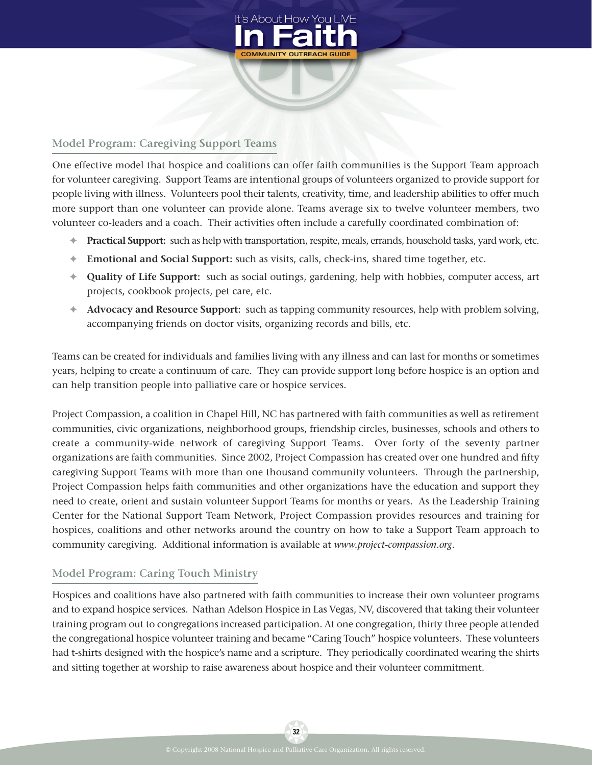

## **Model Program: Caregiving Support Teams**

One effective model that hospice and coalitions can offer faith communities is the Support Team approach for volunteer caregiving. Support Teams are intentional groups of volunteers organized to provide support for people living with illness. Volunteers pool their talents, creativity, time, and leadership abilities to offer much more support than one volunteer can provide alone. Teams average six to twelve volunteer members, two volunteer co-leaders and a coach. Their activities often include a carefully coordinated combination of:

- **✦ Practical Support:** such as help with transportation, respite, meals, errands, household tasks, yard work, etc.
- **✦ Emotional and Social Support:** such as visits, calls, check-ins, shared time together, etc.
- **✦ Quality of Life Support:** such as social outings, gardening, help with hobbies, computer access, art projects, cookbook projects, pet care, etc.
- **✦ Advocacy and Resource Support:** such as tapping community resources, help with problem solving, accompanying friends on doctor visits, organizing records and bills, etc.

Teams can be created for individuals and families living with any illness and can last for months or sometimes years, helping to create a continuum of care. They can provide support long before hospice is an option and can help transition people into palliative care or hospice services.

Project Compassion, a coalition in Chapel Hill, NC has partnered with faith communities as well as retirement communities, civic organizations, neighborhood groups, friendship circles, businesses, schools and others to create a community-wide network of caregiving Support Teams. Over forty of the seventy partner organizations are faith communities. Since 2002, Project Compassion has created over one hundred and fifty caregiving Support Teams with more than one thousand community volunteers. Through the partnership, Project Compassion helps faith communities and other organizations have the education and support they need to create, orient and sustain volunteer Support Teams for months or years. As the Leadership Training Center for the National Support Team Network, Project Compassion provides resources and training for hospices, coalitions and other networks around the country on how to take a Support Team approach to community caregiving. Additional information is available at *www.project-[compassion.org](www.project-compassion.org)*.

#### **Model Program: Caring Touch Ministry**

Hospices and coalitions have also partnered with faith communities to increase their own volunteer programs and to expand hospice services. Nathan Adelson Hospice in Las Vegas, NV, discovered that taking their volunteer training program out to congregations increased participation. At one congregation, thirty three people attended the congregational hospice volunteer training and became "Caring Touch" hospice volunteers. These volunteers had t-shirts designed with the hospice's name and a scripture. They periodically coordinated wearing the shirts and sitting together at worship to raise awareness about hospice and their volunteer commitment.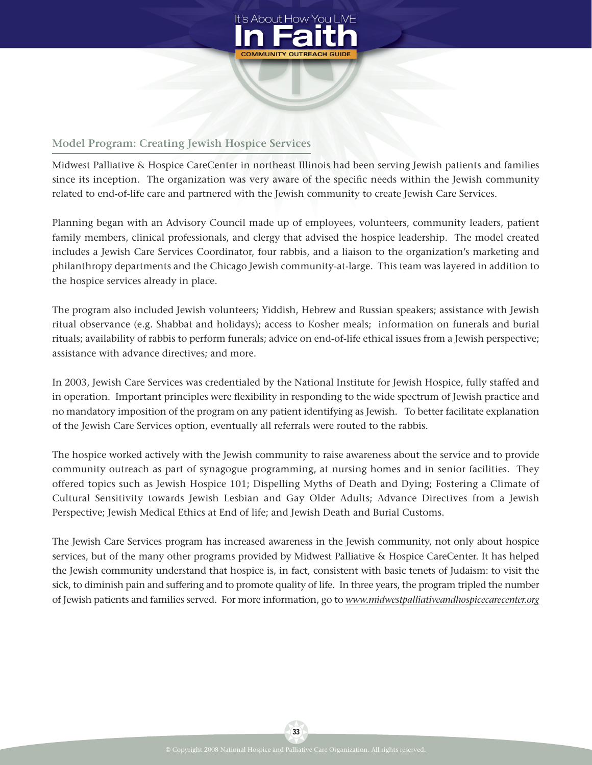

## **Model Program: Creating Jewish Hospice Services**

Midwest Palliative & Hospice CareCenter in northeast Illinois had been serving Jewish patients and families since its inception. The organization was very aware of the specific needs within the Jewish community related to end-of-life care and partnered with the Jewish community to create Jewish Care Services.

Planning began with an Advisory Council made up of employees, volunteers, community leaders, patient family members, clinical professionals, and clergy that advised the hospice leadership. The model created includes a Jewish Care Services Coordinator, four rabbis, and a liaison to the organization's marketing and philanthropy departments and the Chicago Jewish community-at-large. This team was layered in addition to the hospice services already in place.

The program also included Jewish volunteers; Yiddish, Hebrew and Russian speakers; assistance with Jewish ritual observance (e.g. Shabbat and holidays); access to Kosher meals; information on funerals and burial rituals; availability of rabbis to perform funerals; advice on end-of-life ethical issues from a Jewish perspective; assistance with advance directives; and more.

In 2003, Jewish Care Services was credentialed by the National Institute for Jewish Hospice, fully staffed and in operation. Important principles were flexibility in responding to the wide spectrum of Jewish practice and no mandatory imposition of the program on any patient identifying as Jewish. To better facilitate explanation of the Jewish Care Services option, eventually all referrals were routed to the rabbis.

The hospice worked actively with the Jewish community to raise awareness about the service and to provide community outreach as part of synagogue programming, at nursing homes and in senior facilities. They offered topics such as Jewish Hospice 101; Dispelling Myths of Death and Dying; Fostering a Climate of Cultural Sensitivity towards Jewish Lesbian and Gay Older Adults; Advance Directives from a Jewish Perspective; Jewish Medical Ethics at End of life; and Jewish Death and Burial Customs.

The Jewish Care Services program has increased awareness in the Jewish community, not only about hospice services, but of the many other programs provided by Midwest Palliative & Hospice CareCenter. It has helped the Jewish community understand that hospice is, in fact, consistent with basic tenets of Judaism: to visit the sick, to diminish pain and suffering and to promote quality of life. In three years, the program tripled the number of Jewish patients and families served. For more information, go to *www.midwestpalliativeandhospicecarecenter.org*

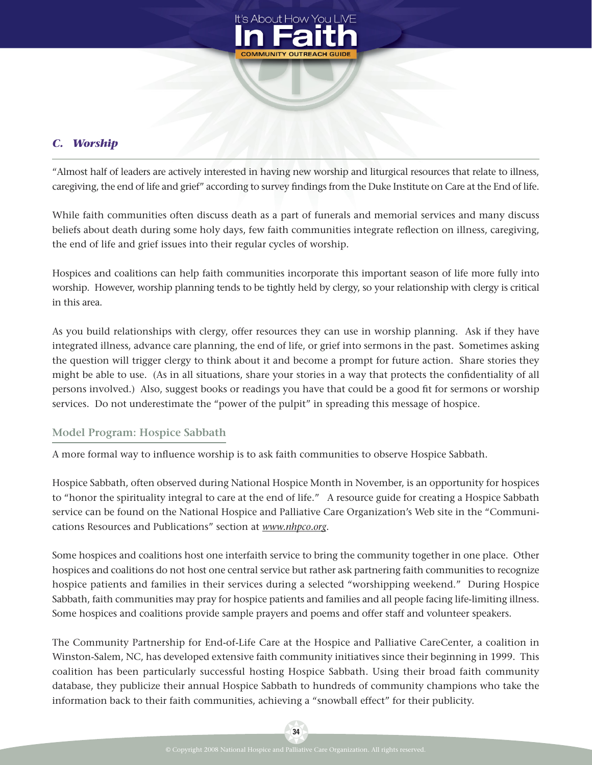

## *C. Worship*

"Almost half of leaders are actively interested in having new worship and liturgical resources that relate to illness, caregiving, the end of life and grief" according to survey findings from the Duke Institute on Care at the End of life.

While faith communities often discuss death as a part of funerals and memorial services and many discuss beliefs about death during some holy days, few faith communities integrate reflection on illness, caregiving, the end of life and grief issues into their regular cycles of worship.

Hospices and coalitions can help faith communities incorporate this important season of life more fully into worship. However, worship planning tends to be tightly held by clergy, so your relationship with clergy is critical in this area.

As you build relationships with clergy, offer resources they can use in worship planning. Ask if they have integrated illness, advance care planning, the end of life, or grief into sermons in the past. Sometimes asking the question will trigger clergy to think about it and become a prompt for future action. Share stories they might be able to use. (As in all situations, share your stories in a way that protects the confidentiality of all persons involved.) Also, suggest books or readings you have that could be a good fit for sermons or worship services. Do not underestimate the "power of the pulpit" in spreading this message of hospice.

## **Model Program: Hospice Sabbath**

A more formal way to influence worship is to ask faith communities to observe Hospice Sabbath.

Hospice Sabbath, often observed during National Hospice Month in November, is an opportunity for hospices to "honor the spirituality integral to care at the end of life." A resource guide for creating a Hospice Sabbath service can be found on the National Hospice and Palliative Care Organization's Web site in the "Communications Resources and Publications" section at *www.nhpco.org*.

Some hospices and coalitions host one interfaith service to bring the community together in one place. Other hospices and coalitions do not host one central service but rather ask partnering faith communities to recognize hospice patients and families in their services during a selected "worshipping weekend." During Hospice Sabbath, faith communities may pray for hospice patients and families and all people facing life-limiting illness. Some hospices and coalitions provide sample prayers and poems and offer staff and volunteer speakers.

The Community Partnership for End-of-Life Care at the Hospice and Palliative CareCenter, a coalition in Winston-Salem, NC, has developed extensive faith community initiatives since their beginning in 1999. This coalition has been particularly successful hosting Hospice Sabbath. Using their broad faith community database, they publicize their annual Hospice Sabbath to hundreds of community champions who take the information back to their faith communities, achieving a "snowball effect" for their publicity.

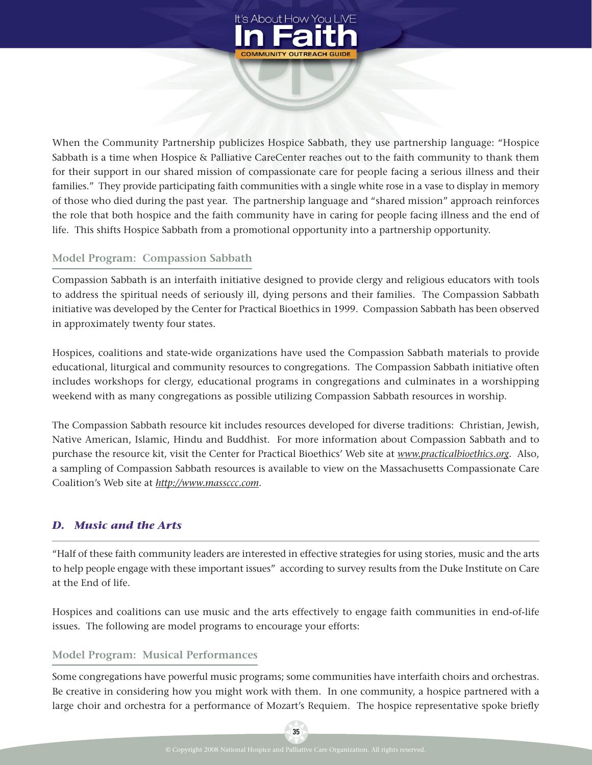

When the Community Partnership publicizes Hospice Sabbath, they use partnership language: "Hospice Sabbath is a time when Hospice & Palliative CareCenter reaches out to the faith community to thank them for their support in our shared mission of compassionate care for people facing a serious illness and their families." They provide participating faith communities with a single white rose in a vase to display in memory of those who died during the past year. The partnership language and "shared mission" approach reinforces the role that both hospice and the faith community have in caring for people facing illness and the end of life. This shifts Hospice Sabbath from a promotional opportunity into a partnership opportunity.

#### **Model Program: Compassion Sabbath**

Compassion Sabbath is an interfaith initiative designed to provide clergy and religious educators with tools to address the spiritual needs of seriously ill, dying persons and their families. The Compassion Sabbath initiative was developed by the Center for Practical Bioethics in 1999. Compassion Sabbath has been observed in approximately twenty four states.

Hospices, coalitions and state-wide organizations have used the Compassion Sabbath materials to provide educational, liturgical and community resources to congregations. The Compassion Sabbath initiative often includes workshops for clergy, educational programs in congregations and culminates in a worshipping weekend with as many congregations as possible utilizing Compassion Sabbath resources in worship.

The Compassion Sabbath resource kit includes resources developed for diverse traditions: Christian, Jewish, Native American, Islamic, Hindu and Buddhist. For more information about Compassion Sabbath and to purchase the resource kit, visit the Center for Practical Bioethics' Web site at *www.practicalbioethics.org*. Also, a sampling of Compassion Sabbath resources is available to view on the Massachusetts Compassionate Care Coalition's Web site at *http://www.massccc.com*.

## *D. Music and the Arts*

"Half of these faith community leaders are interested in effective strategies for using stories, music and the arts to help people engage with these important issues" according to survey results from the Duke Institute on Care at the End of life.

Hospices and coalitions can use music and the arts effectively to engage faith communities in end-of-life issues. The following are model programs to encourage your efforts:

#### **Model Program: Musical Performances**

Some congregations have powerful music programs; some communities have interfaith choirs and orchestras. Be creative in considering how you might work with them. In one community, a hospice partnered with a large choir and orchestra for a performance of Mozart's Requiem. The hospice representative spoke briefly

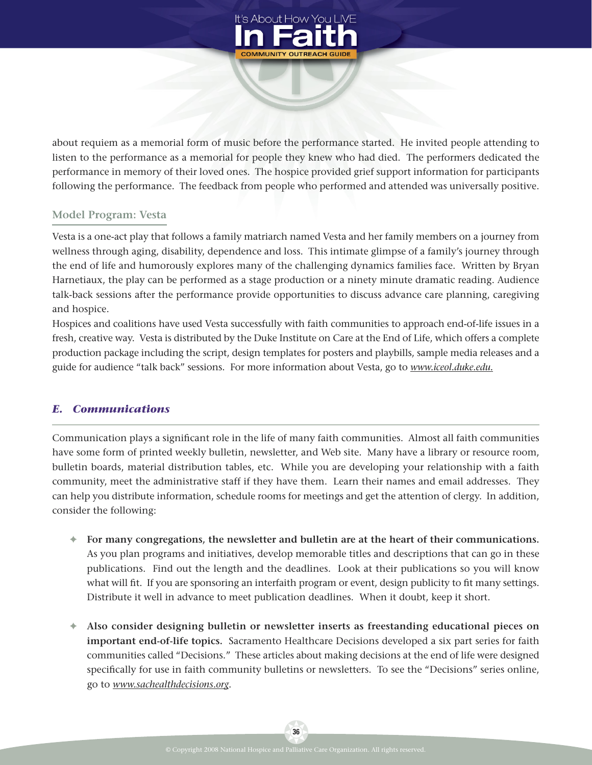

about requiem as a memorial form of music before the performance started. He invited people attending to listen to the performance as a memorial for people they knew who had died. The performers dedicated the performance in memory of their loved ones. The hospice provided grief support information for participants following the performance. The feedback from people who performed and attended was universally positive.

#### **Model Program: Vesta**

Vesta is a one-act play that follows a family matriarch named Vesta and her family members on a journey from wellness through aging, disability, dependence and loss. This intimate glimpse of a family's journey through the end of life and humorously explores many of the challenging dynamics families face. Written by Bryan Harnetiaux, the play can be performed as a stage production or a ninety minute dramatic reading. Audience talk-back sessions after the performance provide opportunities to discuss advance care planning, caregiving and hospice.

Hospices and coalitions have used Vesta successfully with faith communities to approach end-of-life issues in a fresh, creative way. Vesta is distributed by the Duke Institute on Care at the End of Life, which offers a complete production package including the script, design templates for posters and playbills, sample media releases and a guide for audience "talk back" sessions. For more information about Vesta, go to *www.iceol.duke.edu.*

#### *E. Communications*

Communication plays a significant role in the life of many faith communities. Almost all faith communities have some form of printed weekly bulletin, newsletter, and Web site. Many have a library or resource room, bulletin boards, material distribution tables, etc. While you are developing your relationship with a faith community, meet the administrative staff if they have them. Learn their names and email addresses. They can help you distribute information, schedule rooms for meetings and get the attention of clergy. In addition, consider the following:

- **✦ For many congregations, the newsletter and bulletin are at the heart of their communications.** As you plan programs and initiatives, develop memorable titles and descriptions that can go in these publications. Find out the length and the deadlines. Look at their publications so you will know what will fit. If you are sponsoring an interfaith program or event, design publicity to fit many settings. Distribute it well in advance to meet publication deadlines. When it doubt, keep it short.
- **✦ Also consider designing bulletin or newsletter inserts as freestanding educational pieces on important end-of-life topics.** Sacramento Healthcare Decisions developed a six part series for faith communities called "Decisions." These articles about making decisions at the end of life were designed specifically for use in faith community bulletins or newsletters. To see the "Decisions" series online, go to *www.sachealthdecisions.org*.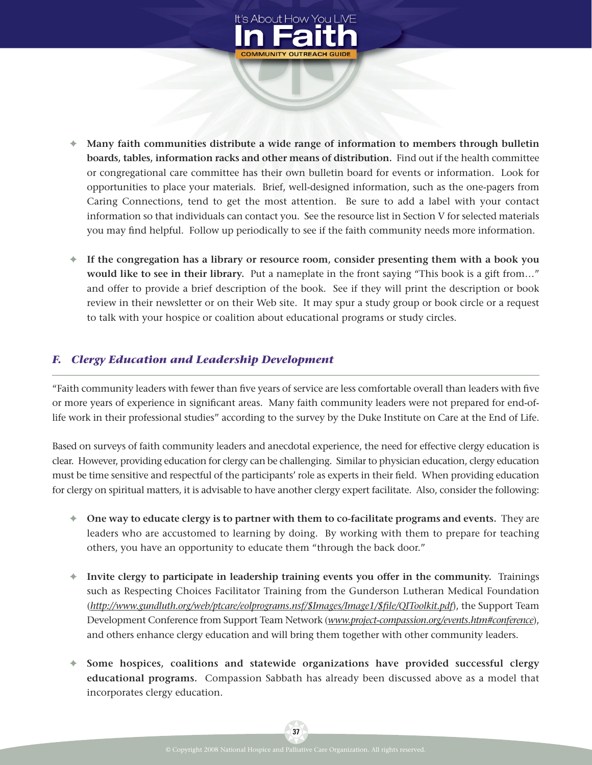

- **✦ Many faith communities distribute a wide range of information to members through bulletin boards, tables, information racks and other means of distribution.** Find out if the health committee or congregational care committee has their own bulletin board for events or information. Look for opportunities to place your materials. Brief, well-designed information, such as the one-pagers from Caring Connections, tend to get the most attention. Be sure to add a label with your contact information so that individuals can contact you. See the resource list in Section V for selected materials you may find helpful. Follow up periodically to see if the faith community needs more information.
- **✦ If the congregation has a library or resource room, consider presenting them with a book you would like to see in their library.** Put a nameplate in the front saying "This book is a gift from…" and offer to provide a brief description of the book. See if they will print the description or book review in their newsletter or on their Web site. It may spur a study group or book circle or a request to talk with your hospice or coalition about educational programs or study circles.

## *F. Clergy Education and Leadership Development*

"Faith community leaders with fewer than Tve years of service are less comfortable overall than leaders with Tve or more years of experience in significant areas. Many faith community leaders were not prepared for end-oflife work in their professional studies" according to the survey by the Duke Institute on Care at the End of Life.

Based on surveys of faith community leaders and anecdotal experience, the need for effective clergy education is clear. However, providing education for clergy can be challenging. Similar to physician education, clergy education must be time sensitive and respectful of the participants' role as experts in their Teld. When providing education for clergy on spiritual matters, it is advisable to have another clergy expert facilitate. Also, consider the following:

- **✦ One way to educate clergy is to partner with them to co-facilitate programs and events.** They are leaders who are accustomed to learning by doing. By working with them to prepare for teaching others, you have an opportunity to educate them "through the back door."
- **✦ Invite clergy to participate in leadership training events you offer in the community.** Trainings such as Respecting Choices Facilitator Training from the Gunderson Lutheran Medical Foundation (http://www.gundluth.org/web/ptcare/eolprograms.nsf/\$Images/Image1/\$file/QIToolkit.pdf), the Support Team Development Conference from Support Team Network (*www.project-compassion.org/events.htm#conference*), and others enhance clergy education and will bring them together with other community leaders.
- **✦ Some hospices, coalitions and statewide organizations have provided successful clergy educational programs.** Compassion Sabbath has already been discussed above as a model that incorporates clergy education.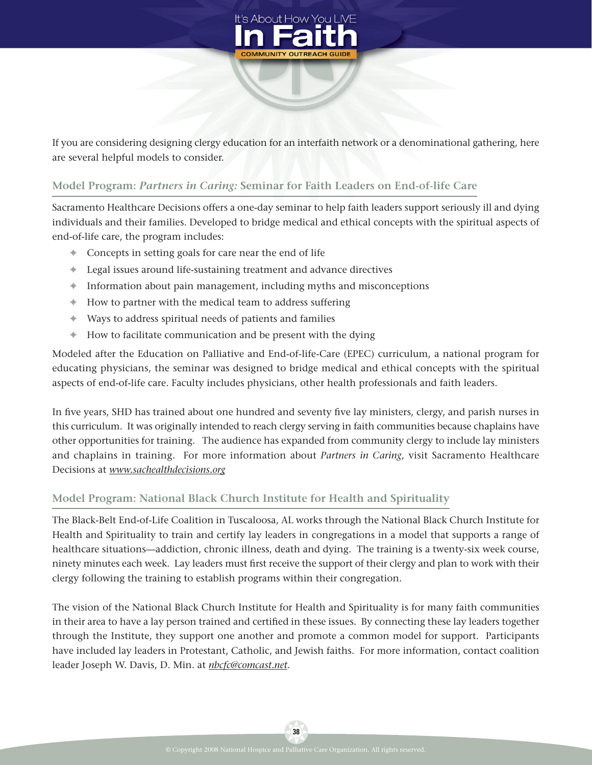

If you are considering designing clergy education for an interfaith network or a denominational gathering, here are several helpful models to consider.

## **Model Program:** *Partners in Caring:* **Seminar for Faith Leaders on End-of-life Care**

Sacramento Healthcare Decisions offers a one-day seminar to help faith leaders support seriously ill and dying individuals and their families. Developed to bridge medical and ethical concepts with the spiritual aspects of end-of-life care, the program includes:

- **✦** Concepts in setting goals for care near the end of life
- **✦** Legal issues around life-sustaining treatment and advance directives
- **✦** Information about pain management, including myths and misconceptions
- **✦** How to partner with the medical team to address suffering
- **✦** Ways to address spiritual needs of patients and families
- **✦** How to facilitate communication and be present with the dying

Modeled after the Education on Palliative and End-of-life-Care (EPEC) curriculum, a national program for educating physicians, the seminar was designed to bridge medical and ethical concepts with the spiritual aspects of end-of-life care. Faculty includes physicians, other health professionals and faith leaders.

In five years, SHD has trained about one hundred and seventy five lay ministers, clergy, and parish nurses in this curriculum. It was originally intended to reach clergy serving in faith communities because chaplains have other opportunities for training. The audience has expanded from community clergy to include lay ministers and chaplains in training. For more information about *Partners in Caring*, visit Sacramento Healthcare Decisions at *www.sachealthdecisions.org*

#### **Model Program: National Black Church Institute for Health and Spirituality**

The Black-Belt End-of-Life Coalition in Tuscaloosa, AL works through the National Black Church Institute for Health and Spirituality to train and certify lay leaders in congregations in a model that supports a range of healthcare situations—addiction, chronic illness, death and dying. The training is a twenty-six week course, ninety minutes each week. Lay leaders must first receive the support of their clergy and plan to work with their clergy following the training to establish programs within their congregation.

The vision of the National Black Church Institute for Health and Spirituality is for many faith communities in their area to have a lay person trained and certified in these issues. By connecting these lay leaders together through the Institute, they support one another and promote a common model for support. Participants have included lay leaders in Protestant, Catholic, and Jewish faiths. For more information, contact coalition leader Joseph W. Davis, D. Min. at *nbcfc@comcast.net*.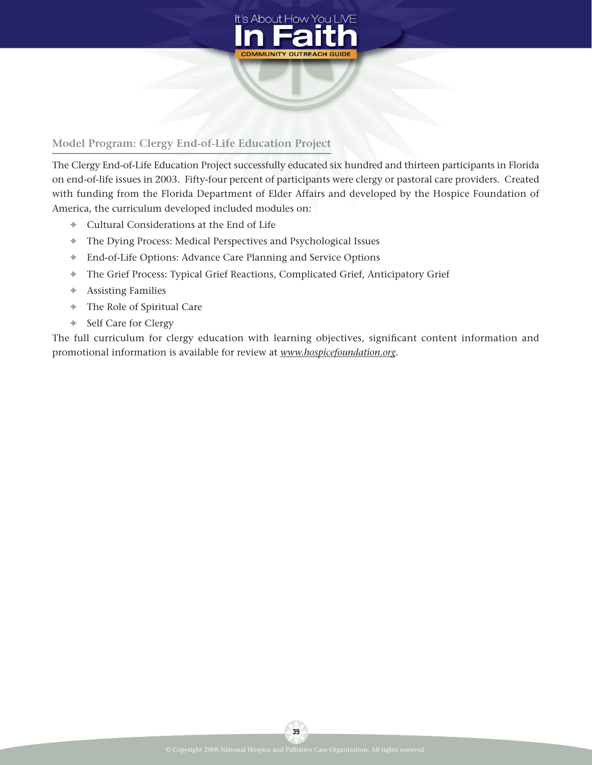

## **Model Program: Clergy End-of-Life Education Project**

The Clergy End-of-Life Education Project successfully educated six hundred and thirteen participants in Florida on end-of-life issues in 2003. Fifty-four percent of participants were clergy or pastoral care providers. Created with funding from the Florida Department of Elder Affairs and developed by the Hospice Foundation of America, the curriculum developed included modules on:

- **✦** Cultural Considerations at the End of Life
- **✦** The Dying Process: Medical Perspectives and Psychological Issues
- **✦** End-of-Life Options: Advance Care Planning and Service Options
- **✦** The Grief Process: Typical Grief Reactions, Complicated Grief, Anticipatory Grief
- **✦** Assisting Families
- **✦** The Role of Spiritual Care
- **✦** Self Care for Clergy

The full curriculum for clergy education with learning objectives, significant content information and promotional information is available for review at *www.hospicefoundation.org*.

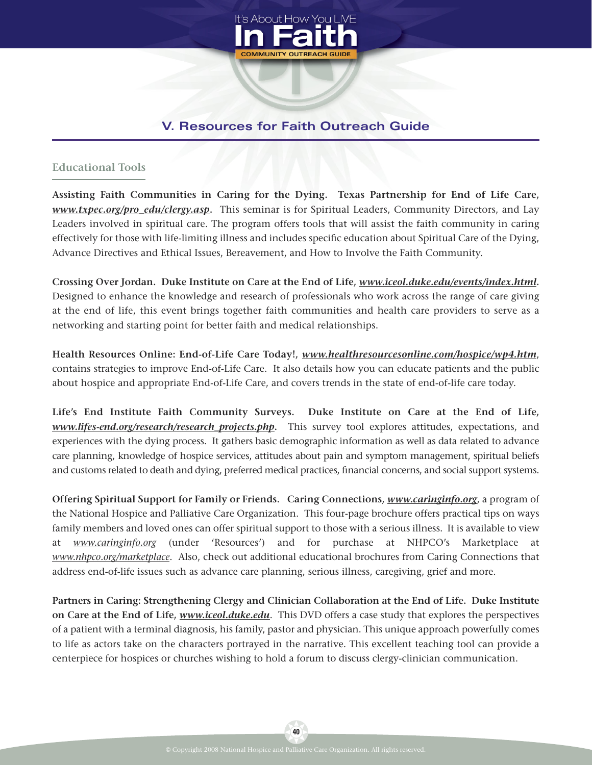

# **V. Resources for Faith Outreach Guide**

## **Educational Tools**

**Assisting Faith Communities in Caring for the Dying. Texas Partnership for End of Life Care,** *www.txpec.org/pro\_edu/clergy.asp***.** This seminar is for Spiritual Leaders, Community Directors, and Lay Leaders involved in spiritual care. The program offers tools that will assist the faith community in caring effectively for those with life-limiting illness and includes specific education about Spiritual Care of the Dying, Advance Directives and Ethical Issues, Bereavement, and How to Involve the Faith Community.

**Crossing Over Jordan. Duke Institute on Care at the End of Life,** *www.iceol.duke.edu/events/index.html***.** Designed to enhance the knowledge and research of professionals who work across the range of care giving at the end of life, this event brings together faith communities and health care providers to serve as a networking and starting point for better faith and medical relationships.

**Health Resources Online: End-of-Life Care Today!,** *www.healthresourcesonline.com/hospice/wp4.htm*, contains strategies to improve End-of-Life Care. It also details how you can educate patients and the public about hospice and appropriate End-of-Life Care, and covers trends in the state of end-of-life care today.

**Life's End Institute Faith Community Surveys. Duke Institute on Care at the End of Life,** *www.lifes-end.org/research/research\_projects.php***.** This survey tool explores attitudes, expectations, and experiences with the dying process. It gathers basic demographic information as well as data related to advance care planning, knowledge of hospice services, attitudes about pain and symptom management, spiritual beliefs and customs related to death and dying, preferred medical practices, financial concerns, and social support systems.

**Offering Spiritual Support for Family or Friends. Caring Connections,** *www.caringinfo.org*, a program of the National Hospice and Palliative Care Organization. This four-page brochure offers practical tips on ways family members and loved ones can offer spiritual support to those with a serious illness. It is available to view at *www.caringinfo.org* (under 'Resources') and for purchase at NHPCO's Marketplace *www.nhpco.org/marketplace*. Also, check out additional educational brochures from Caring Connections that address end-of-life issues such as advance care planning, serious illness, caregiving, grief and more.

**Partners in Caring: Strengthening Clergy and Clinician Collaboration at the End of Life. Duke Institute on Care at the End of Life,** *www.iceol.duke.edu*. This DVD offers a case study that explores the perspectives of a patient with a terminal diagnosis, his family, pastor and physician. This unique approach powerfully comes to life as actors take on the characters portrayed in the narrative. This excellent teaching tool can provide a centerpiece for hospices or churches wishing to hold a forum to discuss clergy-clinician communication.

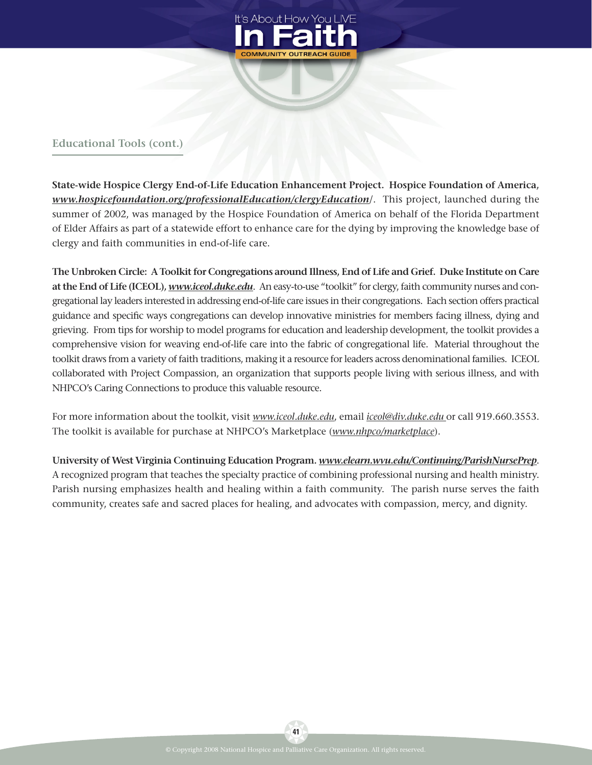

## **Educational Tools (cont.)**

**State-wide Hospice Clergy End-of-Life Education Enhancement Project. Hospice Foundation of America,** *www.hospicefoundation.org/professionalEducation/clergyEducation*/. This project, launched during the summer of 2002, was managed by the Hospice Foundation of America on behalf of the Florida Department of Elder Affairs as part of a statewide effort to enhance care for the dying by improving the knowledge base of clergy and faith communities in end-of-life care.

**The Unbroken Circle: A Toolkit for Congregations around Illness, End of Life and Grief. Duke Institute on Care at the End of Life (ICEOL),** *www.iceol.duke.edu*. An easy-to-use "toolkit" for clergy, faith community nurses and congregational lay leaders interested in addressing end-of-life care issues in their congregations. Each section offers practical guidance and specific ways congregations can develop innovative ministries for members facing illness, dying and grieving. From tips for worship to model programs for education and leadership development, the toolkit provides a comprehensive vision for weaving end-of-life care into the fabric of congregational life. Material throughout the toolkit draws from a variety of faith traditions, making it a resource for leaders across denominational families. ICEOL collaborated with Project Compassion, an organization that supports people living with serious illness, and with NHPCO's Caring Connections to produce this valuable resource.

For more information about the toolkit, visit *www.iceol.duke.edu*, email *iceol@div.duke.edu* or call 919.660.3553. The toolkit is available for purchase at NHPCO's Marketplace (*www.nhpco/marketplace*).

**University of West Virginia Continuing Education Program.** *www.elearn.wvu.edu/Continuing/ParishNursePrep*. A recognized program that teaches the specialty practice of combining professional nursing and health ministry. Parish nursing emphasizes health and healing within a faith community. The parish nurse serves the faith community, creates safe and sacred places for healing, and advocates with compassion, mercy, and dignity.

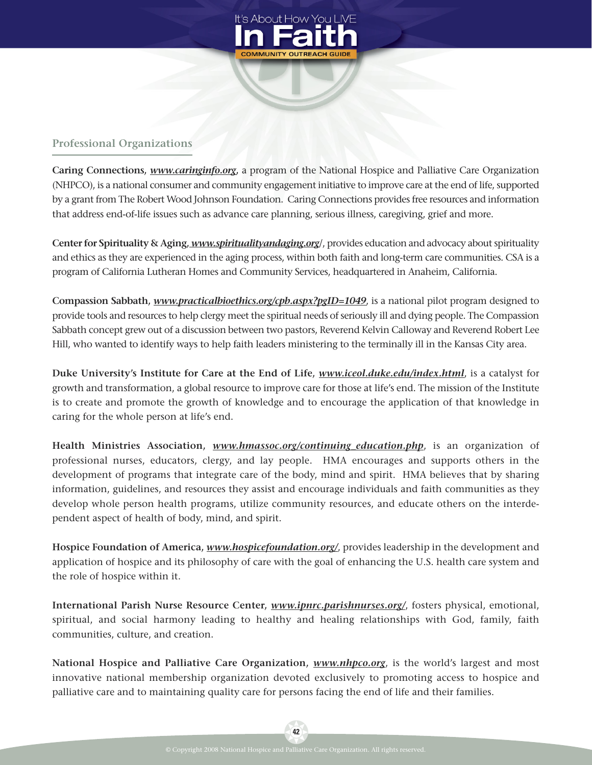

## **Professional Organizations**

**Caring Connections,** *www.caringinfo.org***,** a program of the National Hospice and Palliative Care Organization (NHPCO), is a national consumer and community engagement initiative to improve care at the end of life, supported by a grant from The Robert Wood Johnson Foundation. Caring Connections provides free resources and information that address end-of-life issues such as advance care planning, serious illness, caregiving, grief and more.

**Center for Spirituality & Aging,** *www.spiritualityandaging.org*/, provides education and advocacy about spirituality and ethics as they are experienced in the aging process, within both faith and long-term care communities. CSA is a program of California Lutheran Homes and Community Services, headquartered in Anaheim, California.

**Compassion Sabbath,** *www.practicalbioethics.org/cpb.aspx?pgID=1049*, is a national pilot program designed to provide tools and resources to help clergy meet the spiritual needs of seriously ill and dying people. The Compassion Sabbath concept grew out of a discussion between two pastors, Reverend Kelvin Calloway and Reverend Robert Lee Hill, who wanted to identify ways to help faith leaders ministering to the terminally ill in the Kansas City area.

**Duke University's Institute for Care at the End of Life,** *www.iceol.duke.edu/index.html*, is a catalyst for growth and transformation, a global resource to improve care for those at life's end. The mission of the Institute is to create and promote the growth of knowledge and to encourage the application of that knowledge in caring for the whole person at life's end.

**Health Ministries Association,** *www.hmassoc.org/continuing\_education.php*, is an organization of professional nurses, educators, clergy, and lay people. HMA encourages and supports others in the development of programs that integrate care of the body, mind and spirit. HMA believes that by sharing information, guidelines, and resources they assist and encourage individuals and faith communities as they develop whole person health programs, utilize community resources, and educate others on the interdependent aspect of health of body, mind, and spirit.

**Hospice Foundation of America,** *www.hospicefoundation.org/*, provides leadership in the development and application of hospice and its philosophy of care with the goal of enhancing the U.S. health care system and the role of hospice within it.

**International Parish Nurse Resource Center,** *www.ipnrc.parishnurses.org/*, fosters physical, emotional, spiritual, and social harmony leading to healthy and healing relationships with God, family, faith communities, culture, and creation.

**National Hospice and Palliative Care Organization,** *www.nhpco.org*, is the world's largest and most innovative national membership organization devoted exclusively to promoting access to hospice and palliative care and to maintaining quality care for persons facing the end of life and their families.

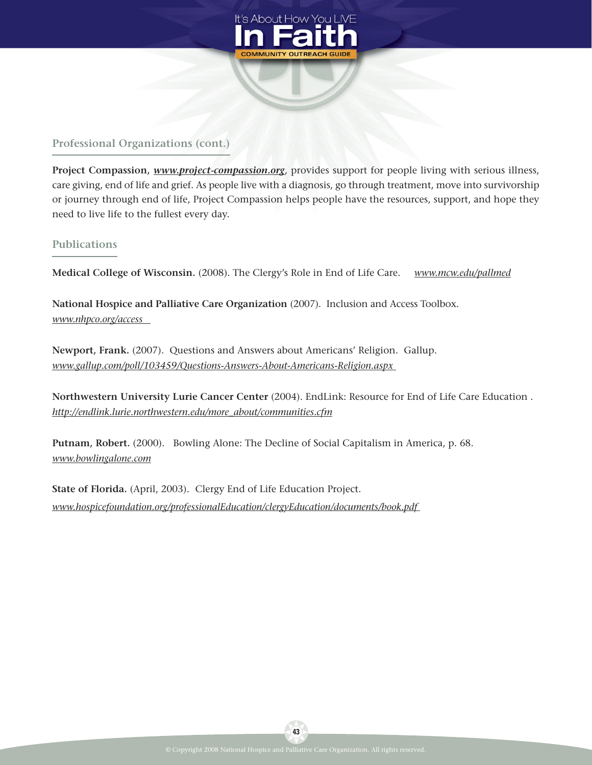

## **Professional Organizations (cont.)**

**Project Compassion,** *www.project-compassion.org*, provides support for people living with serious illness, care giving, end of life and grief. As people live with a diagnosis, go through treatment, move into survivorship or journey through end of life, Project Compassion helps people have the resources, support, and hope they need to live life to the fullest every day.

#### **Publications**

**Medical College of Wisconsin.** (2008). The Clergy's Role in End of Life Care. *www.mcw.edu/pallmed*

**National Hospice and Palliative Care Organization** (2007). Inclusion and Access Toolbox. *www.nhpco.org/access*

**Newport, Frank.** (2007). Questions and Answers about Americans' Religion. Gallup. *www.gallup.com/poll/103459/Questions-Answers-About-Americans-Religion.aspx*

**Northwestern University Lurie Cancer Center** (2004). EndLink: Resource for End of Life Care Education . *http://endlink.lurie.northwestern.edu/more\_about/communities.cfm*

**Putnam, Robert.** (2000). Bowling Alone: The Decline of Social Capitalism in America, p. 68. *www.bowlingalone.com*

**State of Florida.** (April, 2003). Clergy End of Life Education Project. *www.hospicefoundation.org/professionalEducation/clergyEducation/documents/book.pdf*

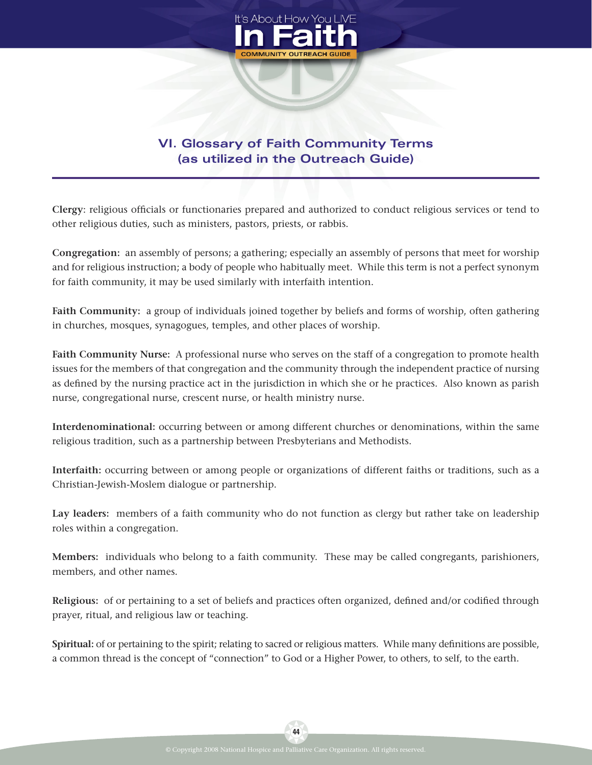

# **VI. Glossary of Faith Community Terms (as utilized in the Outreach Guide)**

Clergy: religious officials or functionaries prepared and authorized to conduct religious services or tend to other religious duties, such as ministers, pastors, priests, or rabbis.

**Congregation:** an assembly of persons; a gathering; especially an assembly of persons that meet for worship and for religious instruction; a body of people who habitually meet. While this term is not a perfect synonym for faith community, it may be used similarly with interfaith intention.

**Faith Community:** a group of individuals joined together by beliefs and forms of worship, often gathering in churches, mosques, synagogues, temples, and other places of worship.

**Faith Community Nurse:** A professional nurse who serves on the staff of a congregation to promote health issues for the members of that congregation and the community through the independent practice of nursing as defined by the nursing practice act in the jurisdiction in which she or he practices. Also known as parish nurse, congregational nurse, crescent nurse, or health ministry nurse.

**Interdenominational:** occurring between or among different churches or denominations, within the same religious tradition, such as a partnership between Presbyterians and Methodists.

**Interfaith:** occurring between or among people or organizations of different faiths or traditions, such as a Christian-Jewish-Moslem dialogue or partnership.

**Lay leaders:** members of a faith community who do not function as clergy but rather take on leadership roles within a congregation.

**Members:** individuals who belong to a faith community. These may be called congregants, parishioners, members, and other names.

**Religious:** of or pertaining to a set of beliefs and practices often organized, defined and/or codified through prayer, ritual, and religious law or teaching.

**Spiritual:** of or pertaining to the spirit; relating to sacred or religious matters. While many definitions are possible, a common thread is the concept of "connection" to God or a Higher Power, to others, to self, to the earth.

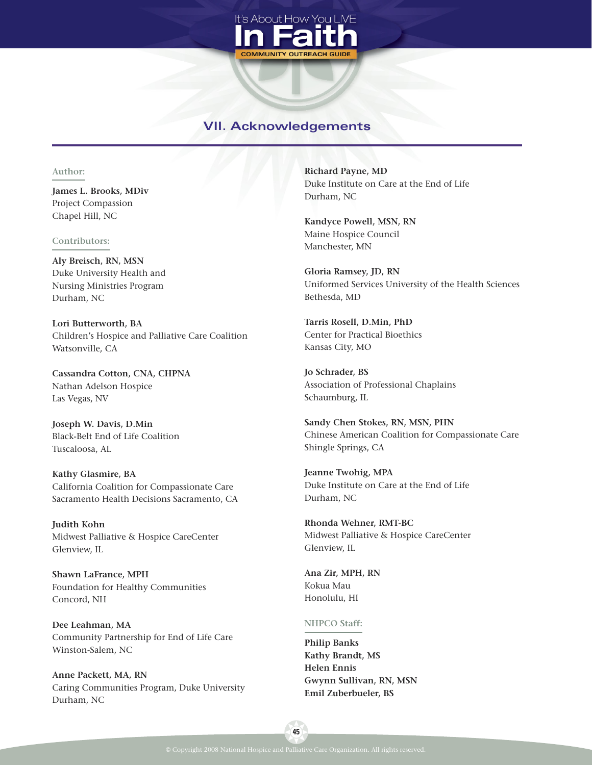

## **VII. Acknowledgements**

#### **Author:**

**James L. Brooks, MDiv** Project Compassion Chapel Hill, NC

#### **Contributors:**

**Aly Breisch, RN, MSN** Duke University Health and Nursing Ministries Program Durham, NC

**Lori Butterworth, BA** Children's Hospice and Palliative Care Coalition Watsonville, CA

**Cassandra Cotton, CNA, CHPNA** Nathan Adelson Hospice Las Vegas, NV

**Joseph W. Davis, D.Min** Black-Belt End of Life Coalition Tuscaloosa, AL

**Kathy Glasmire, BA** California Coalition for Compassionate Care Sacramento Health Decisions Sacramento, CA

**Judith Kohn** Midwest Palliative & Hospice CareCenter Glenview, IL

**Shawn LaFrance, MPH** Foundation for Healthy Communities Concord, NH

**Dee Leahman, MA** Community Partnership for End of Life Care Winston-Salem, NC

**Anne Packett, MA, RN** Caring Communities Program, Duke University Durham, NC

**Richard Payne, MD** Duke Institute on Care at the End of Life Durham, NC

**Kandyce Powell, MSN, RN** Maine Hospice Council Manchester, MN

**Gloria Ramsey, JD, RN** Uniformed Services University of the Health Sciences Bethesda, MD

**Tarris Rosell, D.Min, PhD** Center for Practical Bioethics Kansas City, MO

**Jo Schrader, BS** Association of Professional Chaplains Schaumburg, IL

**Sandy Chen Stokes, RN, MSN, PHN** Chinese American Coalition for Compassionate Care Shingle Springs, CA

**Jeanne Twohig, MPA** Duke Institute on Care at the End of Life Durham, NC

**Rhonda Wehner, RMT-BC** Midwest Palliative & Hospice CareCenter Glenview, IL

**Ana Zir, MPH, RN** Kokua Mau Honolulu, HI

#### **NHPCO Staff:**

**Philip Banks Kathy Brandt, MS Helen Ennis Gwynn Sullivan, RN, MSN Emil Zuberbueler, BS**